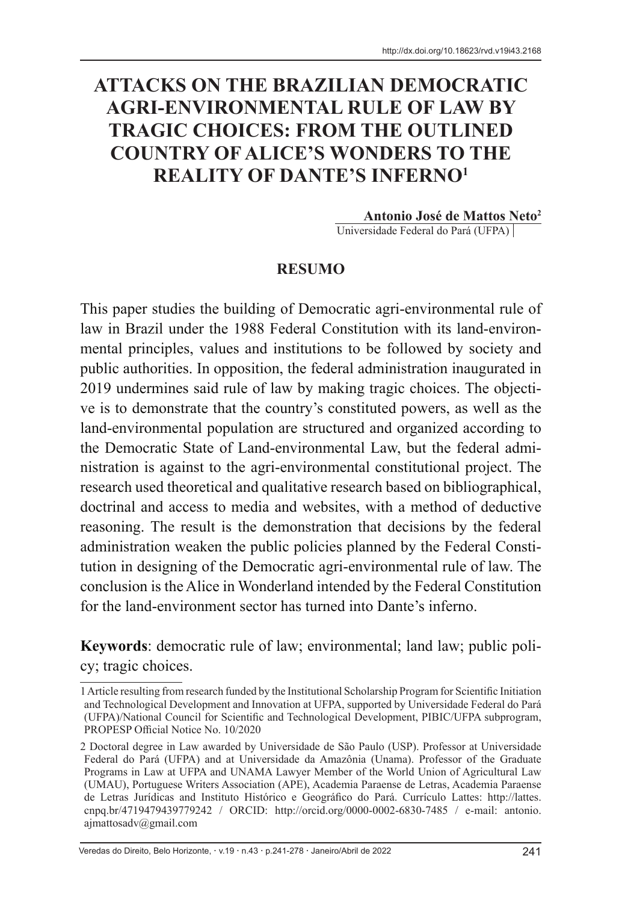# **ATTACKS ON THE BRAZILIAN DEMOCRATIC AGRI-ENVIRONMENTAL RULE OF LAW BY TRAGIC CHOICES: FROM THE OUTLINED COUNTRY OF ALICE'S WONDERS TO THE REALITY OF DANTE'S INFERNO1**

**Antonio José de Mattos Neto2** Universidade Federal do Pará (UFPA)

#### **RESUMO**

This paper studies the building of Democratic agri-environmental rule of law in Brazil under the 1988 Federal Constitution with its land-environmental principles, values and institutions to be followed by society and public authorities. In opposition, the federal administration inaugurated in 2019 undermines said rule of law by making tragic choices. The objective is to demonstrate that the country's constituted powers, as well as the land-environmental population are structured and organized according to the Democratic State of Land-environmental Law, but the federal administration is against to the agri-environmental constitutional project. The research used theoretical and qualitative research based on bibliographical, doctrinal and access to media and websites, with a method of deductive reasoning. The result is the demonstration that decisions by the federal administration weaken the public policies planned by the Federal Constitution in designing of the Democratic agri-environmental rule of law. The conclusion is the Alice in Wonderland intended by the Federal Constitution for the land-environment sector has turned into Dante's inferno.

**Keywords**: democratic rule of law; environmental; land law; public policy; tragic choices.

Veredas do Direito, Belo Horizonte, · v.19 · n.43 · p.241-278 · Janeiro/Abril de 2022 241

<sup>1</sup> Article resulting from research funded by the Institutional Scholarship Program for Scientific Initiation and Technological Development and Innovation at UFPA, supported by Universidade Federal do Pará (UFPA)/National Council for Scientific and Technological Development, PIBIC/UFPA subprogram, PROPESP Official Notice No. 10/2020

<sup>2</sup> Doctoral degree in Law awarded by Universidade de São Paulo (USP). Professor at Universidade Federal do Pará (UFPA) and at Universidade da Amazônia (Unama). Professor of the Graduate Programs in Law at UFPA and UNAMA Lawyer Member of the World Union of Agricultural Law (UMAU), Portuguese Writers Association (APE), Academia Paraense de Letras, Academia Paraense de Letras Jurídicas and Instituto Histórico e Geográfico do Pará. Currículo Lattes: http://lattes. cnpq.br/4719479439779242 / ORCID: http://orcid.org/0000-0002-6830-7485 / e-mail: antonio. ajmattosadv@gmail.com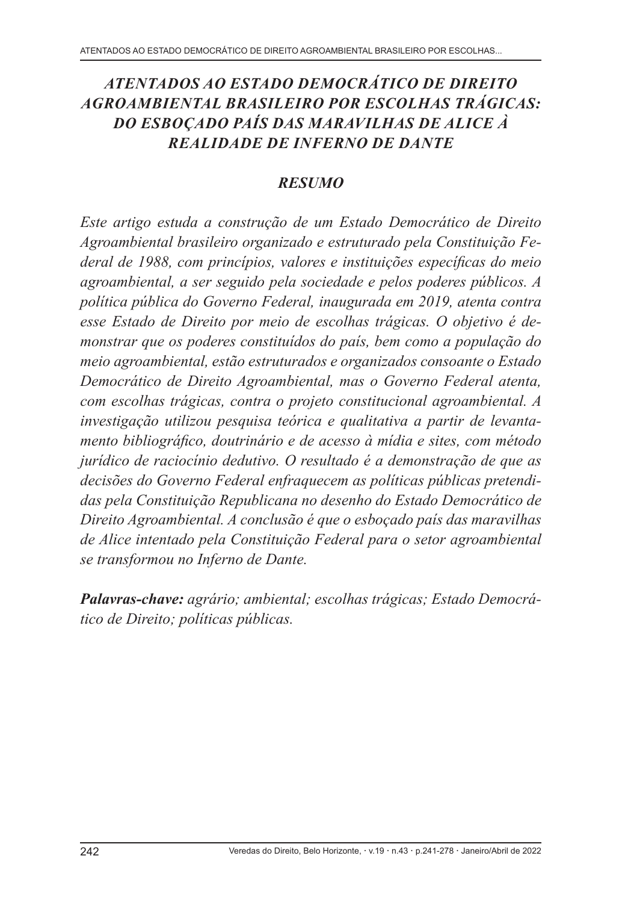# *ATENTADOS AO ESTADO DEMOCRÁTICO DE DIREITO AGROAMBIENTAL BRASILEIRO POR ESCOLHAS TRÁGICAS: DO ESBOÇADO PAÍS DAS MARAVILHAS DE ALICE À REALIDADE DE INFERNO DE DANTE*

#### *RESUMO*

*Este artigo estuda a construção de um Estado Democrático de Direito Agroambiental brasileiro organizado e estruturado pela Constituição Federal de 1988, com princípios, valores e instituições específicas do meio agroambiental, a ser seguido pela sociedade e pelos poderes públicos. A política pública do Governo Federal, inaugurada em 2019, atenta contra esse Estado de Direito por meio de escolhas trágicas. O objetivo é demonstrar que os poderes constituídos do país, bem como a população do meio agroambiental, estão estruturados e organizados consoante o Estado Democrático de Direito Agroambiental, mas o Governo Federal atenta, com escolhas trágicas, contra o projeto constitucional agroambiental. A investigação utilizou pesquisa teórica e qualitativa a partir de levantamento bibliográfico, doutrinário e de acesso à mídia e sites, com método jurídico de raciocínio dedutivo. O resultado é a demonstração de que as decisões do Governo Federal enfraquecem as políticas públicas pretendidas pela Constituição Republicana no desenho do Estado Democrático de Direito Agroambiental. A conclusão é que o esboçado país das maravilhas de Alice intentado pela Constituição Federal para o setor agroambiental se transformou no Inferno de Dante.*

*Palavras-chave: agrário; ambiental; escolhas trágicas; Estado Democrático de Direito; políticas públicas.*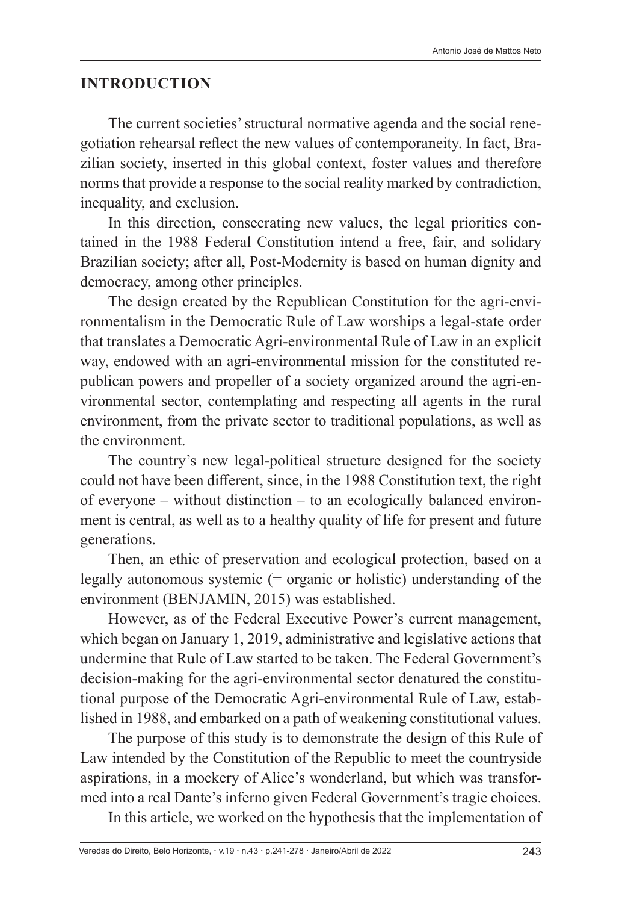#### **INTRODUCTION**

The current societies' structural normative agenda and the social renegotiation rehearsal reflect the new values of contemporaneity. In fact, Brazilian society, inserted in this global context, foster values and therefore norms that provide a response to the social reality marked by contradiction, inequality, and exclusion.

In this direction, consecrating new values, the legal priorities contained in the 1988 Federal Constitution intend a free, fair, and solidary Brazilian society; after all, Post-Modernity is based on human dignity and democracy, among other principles.

The design created by the Republican Constitution for the agri-environmentalism in the Democratic Rule of Law worships a legal-state order that translates a Democratic Agri-environmental Rule of Law in an explicit way, endowed with an agri-environmental mission for the constituted republican powers and propeller of a society organized around the agri-environmental sector, contemplating and respecting all agents in the rural environment, from the private sector to traditional populations, as well as the environment.

The country's new legal-political structure designed for the society could not have been different, since, in the 1988 Constitution text, the right of everyone – without distinction – to an ecologically balanced environment is central, as well as to a healthy quality of life for present and future generations.

Then, an ethic of preservation and ecological protection, based on a legally autonomous systemic (= organic or holistic) understanding of the environment (BENJAMIN, 2015) was established.

However, as of the Federal Executive Power's current management, which began on January 1, 2019, administrative and legislative actions that undermine that Rule of Law started to be taken. The Federal Government's decision-making for the agri-environmental sector denatured the constitutional purpose of the Democratic Agri-environmental Rule of Law, established in 1988, and embarked on a path of weakening constitutional values.

The purpose of this study is to demonstrate the design of this Rule of Law intended by the Constitution of the Republic to meet the countryside aspirations, in a mockery of Alice's wonderland, but which was transformed into a real Dante's inferno given Federal Government's tragic choices.

In this article, we worked on the hypothesis that the implementation of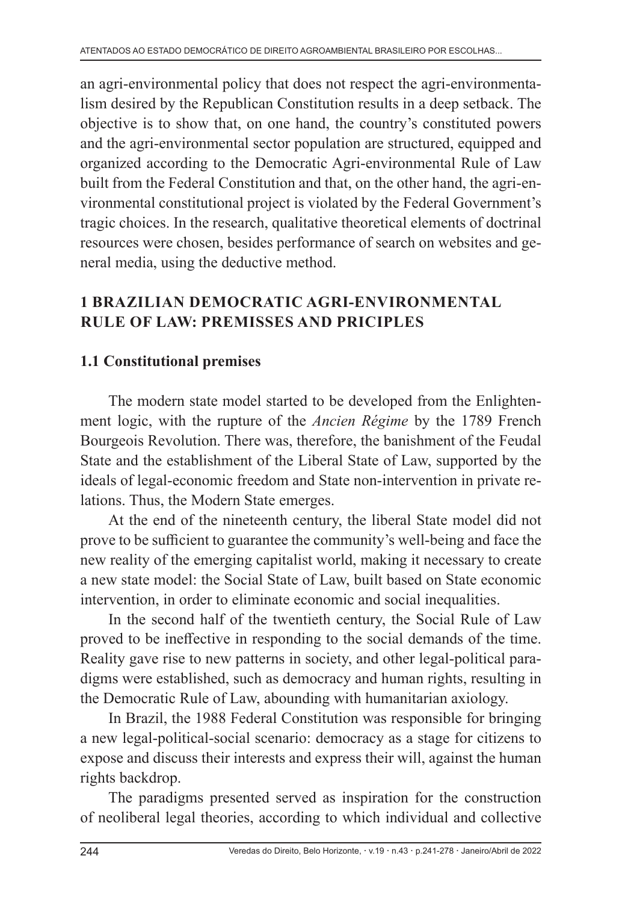an agri-environmental policy that does not respect the agri-environmentalism desired by the Republican Constitution results in a deep setback. The objective is to show that, on one hand, the country's constituted powers and the agri-environmental sector population are structured, equipped and organized according to the Democratic Agri-environmental Rule of Law built from the Federal Constitution and that, on the other hand, the agri-environmental constitutional project is violated by the Federal Government's tragic choices. In the research, qualitative theoretical elements of doctrinal resources were chosen, besides performance of search on websites and general media, using the deductive method.

# **1 BRAZILIAN DEMOCRATIC AGRI-ENVIRONMENTAL RULE OF LAW: PREMISSES AND PRICIPLES**

### **1.1 Constitutional premises**

The modern state model started to be developed from the Enlightenment logic, with the rupture of the *Ancien Régime* by the 1789 French Bourgeois Revolution. There was, therefore, the banishment of the Feudal State and the establishment of the Liberal State of Law, supported by the ideals of legal-economic freedom and State non-intervention in private relations. Thus, the Modern State emerges.

At the end of the nineteenth century, the liberal State model did not prove to be sufficient to guarantee the community's well-being and face the new reality of the emerging capitalist world, making it necessary to create a new state model: the Social State of Law, built based on State economic intervention, in order to eliminate economic and social inequalities.

In the second half of the twentieth century, the Social Rule of Law proved to be ineffective in responding to the social demands of the time. Reality gave rise to new patterns in society, and other legal-political paradigms were established, such as democracy and human rights, resulting in the Democratic Rule of Law, abounding with humanitarian axiology.

In Brazil, the 1988 Federal Constitution was responsible for bringing a new legal-political-social scenario: democracy as a stage for citizens to expose and discuss their interests and express their will, against the human rights backdrop.

The paradigms presented served as inspiration for the construction of neoliberal legal theories, according to which individual and collective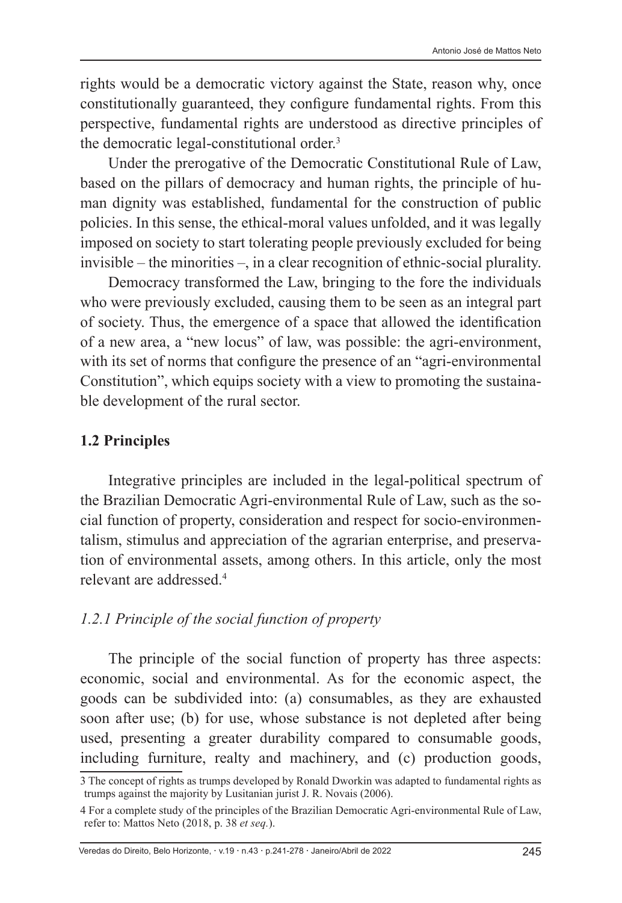rights would be a democratic victory against the State, reason why, once constitutionally guaranteed, they configure fundamental rights. From this perspective, fundamental rights are understood as directive principles of the democratic legal-constitutional order.3

Under the prerogative of the Democratic Constitutional Rule of Law, based on the pillars of democracy and human rights, the principle of human dignity was established, fundamental for the construction of public policies. In this sense, the ethical-moral values unfolded, and it was legally imposed on society to start tolerating people previously excluded for being invisible – the minorities –, in a clear recognition of ethnic-social plurality.

Democracy transformed the Law, bringing to the fore the individuals who were previously excluded, causing them to be seen as an integral part of society. Thus, the emergence of a space that allowed the identification of a new area, a "new locus" of law, was possible: the agri-environment, with its set of norms that configure the presence of an "agri-environmental Constitution", which equips society with a view to promoting the sustainable development of the rural sector.

#### **1.2 Principles**

Integrative principles are included in the legal-political spectrum of the Brazilian Democratic Agri-environmental Rule of Law, such as the social function of property, consideration and respect for socio-environmentalism, stimulus and appreciation of the agrarian enterprise, and preservation of environmental assets, among others. In this article, only the most relevant are addressed.4

#### *1.2.1 Principle of the social function of property*

The principle of the social function of property has three aspects: economic, social and environmental. As for the economic aspect, the goods can be subdivided into: (a) consumables, as they are exhausted soon after use; (b) for use, whose substance is not depleted after being used, presenting a greater durability compared to consumable goods, including furniture, realty and machinery, and (c) production goods,

<sup>3</sup> The concept of rights as trumps developed by Ronald Dworkin was adapted to fundamental rights as trumps against the majority by Lusitanian jurist J. R. Novais (2006).

<sup>4</sup> For a complete study of the principles of the Brazilian Democratic Agri-environmental Rule of Law, refer to: Mattos Neto (2018, p. 38 *et seq.*).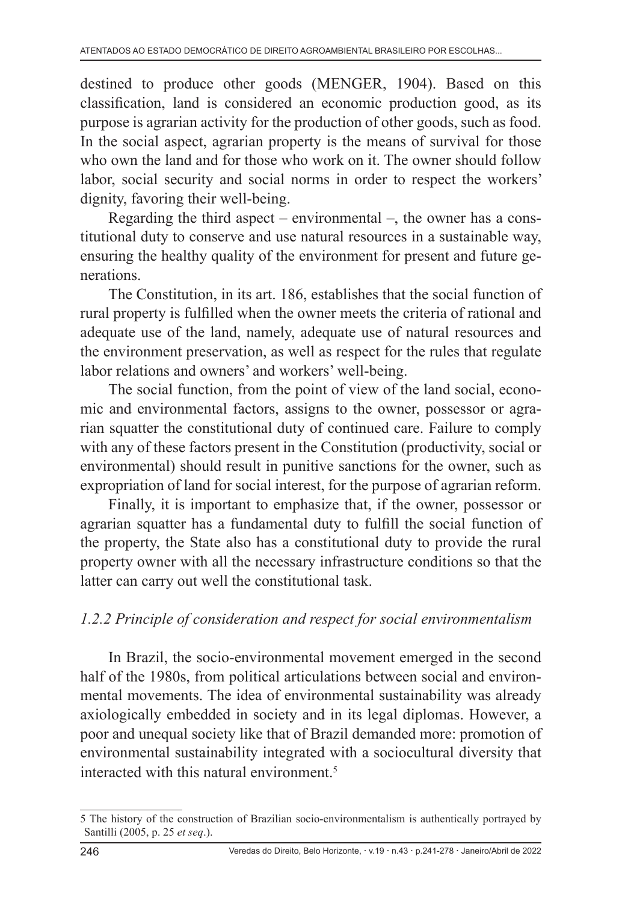destined to produce other goods (MENGER, 1904). Based on this classification, land is considered an economic production good, as its purpose is agrarian activity for the production of other goods, such as food. In the social aspect, agrarian property is the means of survival for those who own the land and for those who work on it. The owner should follow labor, social security and social norms in order to respect the workers' dignity, favoring their well-being.

Regarding the third aspect – environmental –, the owner has a constitutional duty to conserve and use natural resources in a sustainable way, ensuring the healthy quality of the environment for present and future generations.

The Constitution, in its art. 186, establishes that the social function of rural property is fulfilled when the owner meets the criteria of rational and adequate use of the land, namely, adequate use of natural resources and the environment preservation, as well as respect for the rules that regulate labor relations and owners' and workers' well-being.

The social function, from the point of view of the land social, economic and environmental factors, assigns to the owner, possessor or agrarian squatter the constitutional duty of continued care. Failure to comply with any of these factors present in the Constitution (productivity, social or environmental) should result in punitive sanctions for the owner, such as expropriation of land for social interest, for the purpose of agrarian reform.

Finally, it is important to emphasize that, if the owner, possessor or agrarian squatter has a fundamental duty to fulfill the social function of the property, the State also has a constitutional duty to provide the rural property owner with all the necessary infrastructure conditions so that the latter can carry out well the constitutional task.

#### *1.2.2 Principle of consideration and respect for social environmentalism*

In Brazil, the socio-environmental movement emerged in the second half of the 1980s, from political articulations between social and environmental movements. The idea of environmental sustainability was already axiologically embedded in society and in its legal diplomas. However, a poor and unequal society like that of Brazil demanded more: promotion of environmental sustainability integrated with a sociocultural diversity that interacted with this natural environment.5

<sup>5</sup> The history of the construction of Brazilian socio-environmentalism is authentically portrayed by Santilli (2005, p. 25 *et seq*.).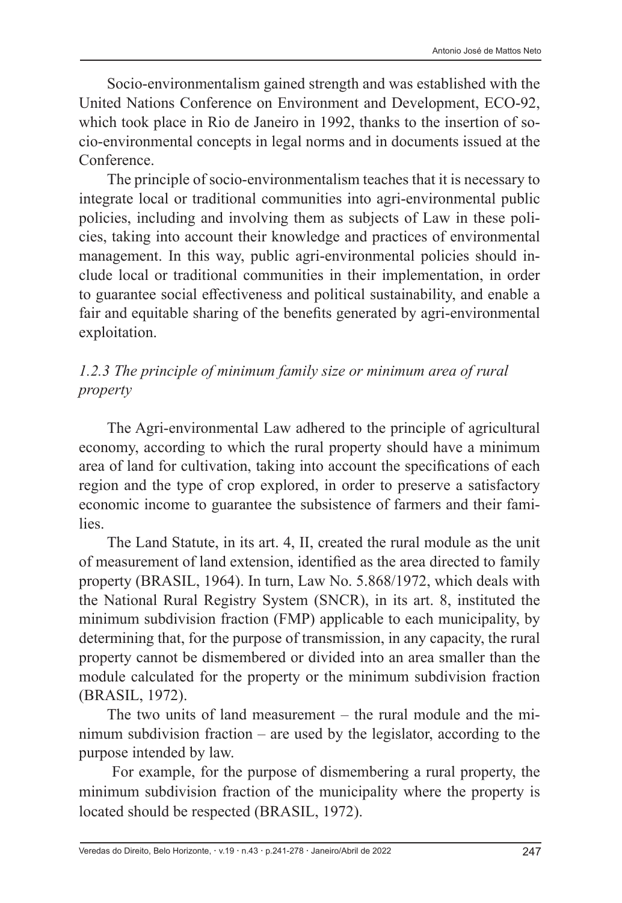Socio-environmentalism gained strength and was established with the United Nations Conference on Environment and Development, ECO-92, which took place in Rio de Janeiro in 1992, thanks to the insertion of socio-environmental concepts in legal norms and in documents issued at the Conference.

The principle of socio-environmentalism teaches that it is necessary to integrate local or traditional communities into agri-environmental public policies, including and involving them as subjects of Law in these policies, taking into account their knowledge and practices of environmental management. In this way, public agri-environmental policies should include local or traditional communities in their implementation, in order to guarantee social effectiveness and political sustainability, and enable a fair and equitable sharing of the benefits generated by agri-environmental exploitation.

# *1.2.3 The principle of minimum family size or minimum area of rural property*

The Agri-environmental Law adhered to the principle of agricultural economy, according to which the rural property should have a minimum area of land for cultivation, taking into account the specifications of each region and the type of crop explored, in order to preserve a satisfactory economic income to guarantee the subsistence of farmers and their families.

The Land Statute, in its art. 4, II, created the rural module as the unit of measurement of land extension, identified as the area directed to family property (BRASIL, 1964). In turn, Law No. 5.868/1972, which deals with the National Rural Registry System (SNCR), in its art. 8, instituted the minimum subdivision fraction (FMP) applicable to each municipality, by determining that, for the purpose of transmission, in any capacity, the rural property cannot be dismembered or divided into an area smaller than the module calculated for the property or the minimum subdivision fraction (BRASIL, 1972).

The two units of land measurement – the rural module and the minimum subdivision fraction – are used by the legislator, according to the purpose intended by law.

 For example, for the purpose of dismembering a rural property, the minimum subdivision fraction of the municipality where the property is located should be respected (BRASIL, 1972).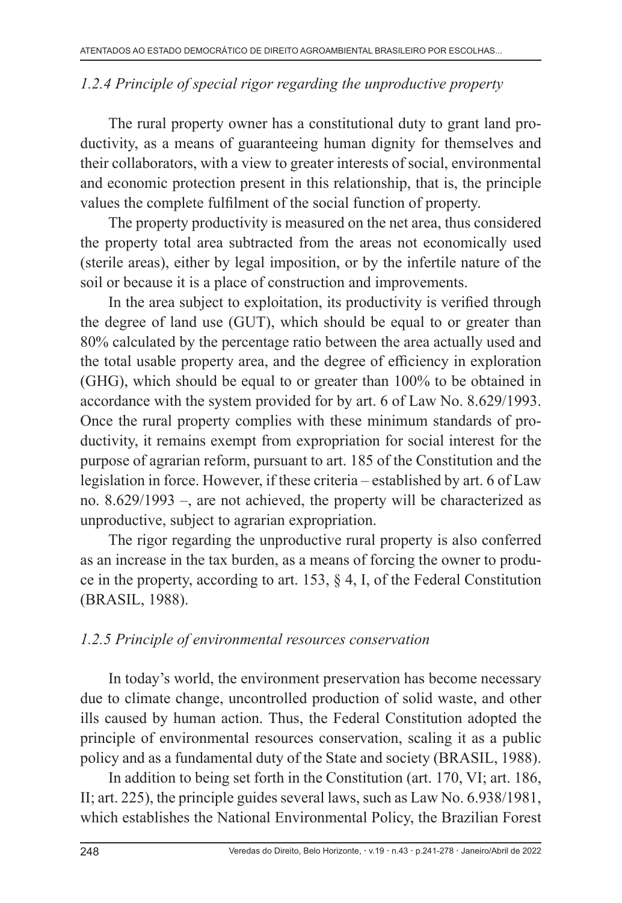#### *1.2.4 Principle of special rigor regarding the unproductive property*

The rural property owner has a constitutional duty to grant land productivity, as a means of guaranteeing human dignity for themselves and their collaborators, with a view to greater interests of social, environmental and economic protection present in this relationship, that is, the principle values the complete fulfilment of the social function of property.

The property productivity is measured on the net area, thus considered the property total area subtracted from the areas not economically used (sterile areas), either by legal imposition, or by the infertile nature of the soil or because it is a place of construction and improvements.

In the area subject to exploitation, its productivity is verified through the degree of land use (GUT), which should be equal to or greater than 80% calculated by the percentage ratio between the area actually used and the total usable property area, and the degree of efficiency in exploration (GHG), which should be equal to or greater than 100% to be obtained in accordance with the system provided for by art. 6 of Law No. 8.629/1993. Once the rural property complies with these minimum standards of productivity, it remains exempt from expropriation for social interest for the purpose of agrarian reform, pursuant to art. 185 of the Constitution and the legislation in force. However, if these criteria – established by art. 6 of Law no. 8.629/1993 –, are not achieved, the property will be characterized as unproductive, subject to agrarian expropriation.

The rigor regarding the unproductive rural property is also conferred as an increase in the tax burden, as a means of forcing the owner to produce in the property, according to art. 153, § 4, I, of the Federal Constitution (BRASIL, 1988).

#### *1.2.5 Principle of environmental resources conservation*

In today's world, the environment preservation has become necessary due to climate change, uncontrolled production of solid waste, and other ills caused by human action. Thus, the Federal Constitution adopted the principle of environmental resources conservation, scaling it as a public policy and as a fundamental duty of the State and society (BRASIL, 1988).

In addition to being set forth in the Constitution (art. 170, VI; art. 186, II; art. 225), the principle guides several laws, such as Law No. 6.938/1981, which establishes the National Environmental Policy, the Brazilian Forest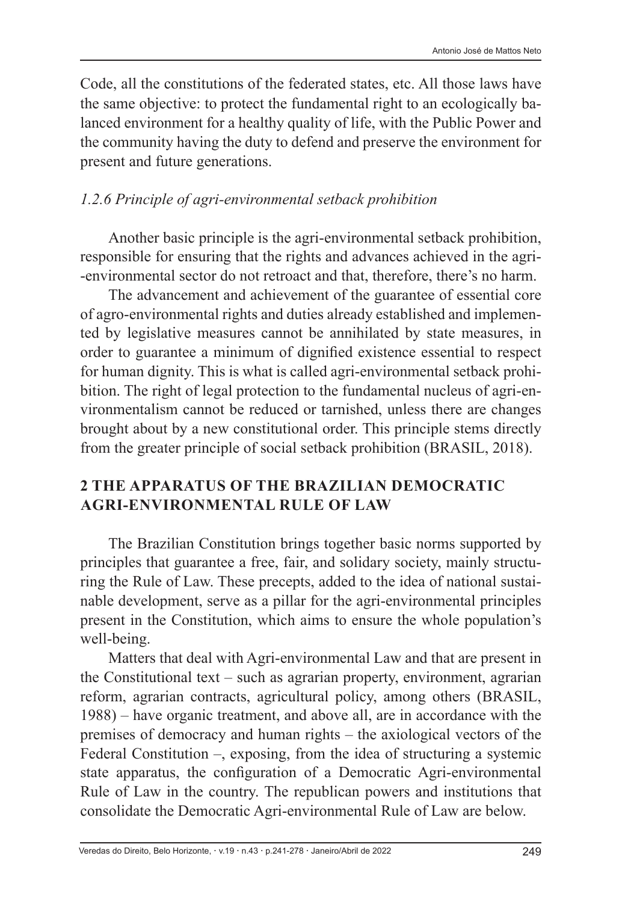Code, all the constitutions of the federated states, etc. All those laws have the same objective: to protect the fundamental right to an ecologically balanced environment for a healthy quality of life, with the Public Power and the community having the duty to defend and preserve the environment for present and future generations.

### *1.2.6 Principle of agri-environmental setback prohibition*

Another basic principle is the agri-environmental setback prohibition, responsible for ensuring that the rights and advances achieved in the agri- -environmental sector do not retroact and that, therefore, there's no harm.

The advancement and achievement of the guarantee of essential core of agro-environmental rights and duties already established and implemented by legislative measures cannot be annihilated by state measures, in order to guarantee a minimum of dignified existence essential to respect for human dignity. This is what is called agri-environmental setback prohibition. The right of legal protection to the fundamental nucleus of agri-environmentalism cannot be reduced or tarnished, unless there are changes brought about by a new constitutional order. This principle stems directly from the greater principle of social setback prohibition (BRASIL, 2018).

### **2 THE APPARATUS OF THE BRAZILIAN DEMOCRATIC AGRI-ENVIRONMENTAL RULE OF LAW**

The Brazilian Constitution brings together basic norms supported by principles that guarantee a free, fair, and solidary society, mainly structuring the Rule of Law. These precepts, added to the idea of national sustainable development, serve as a pillar for the agri-environmental principles present in the Constitution, which aims to ensure the whole population's well-being.

Matters that deal with Agri-environmental Law and that are present in the Constitutional text – such as agrarian property, environment, agrarian reform, agrarian contracts, agricultural policy, among others (BRASIL, 1988) – have organic treatment, and above all, are in accordance with the premises of democracy and human rights – the axiological vectors of the Federal Constitution –, exposing, from the idea of structuring a systemic state apparatus, the configuration of a Democratic Agri-environmental Rule of Law in the country. The republican powers and institutions that consolidate the Democratic Agri-environmental Rule of Law are below.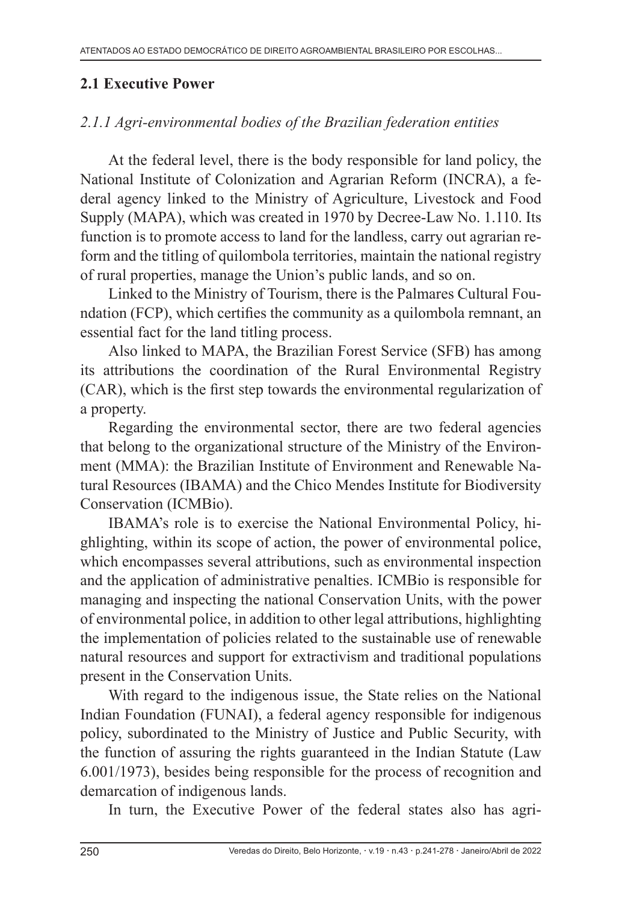#### **2.1 Executive Power**

### *2.1.1 Agri-environmental bodies of the Brazilian federation entities*

At the federal level, there is the body responsible for land policy, the National Institute of Colonization and Agrarian Reform (INCRA), a federal agency linked to the Ministry of Agriculture, Livestock and Food Supply (MAPA), which was created in 1970 by Decree-Law No. 1.110. Its function is to promote access to land for the landless, carry out agrarian reform and the titling of quilombola territories, maintain the national registry of rural properties, manage the Union's public lands, and so on.

Linked to the Ministry of Tourism, there is the Palmares Cultural Foundation (FCP), which certifies the community as a quilombola remnant, an essential fact for the land titling process.

Also linked to MAPA, the Brazilian Forest Service (SFB) has among its attributions the coordination of the Rural Environmental Registry (CAR), which is the first step towards the environmental regularization of a property.

Regarding the environmental sector, there are two federal agencies that belong to the organizational structure of the Ministry of the Environment (MMA): the Brazilian Institute of Environment and Renewable Natural Resources (IBAMA) and the Chico Mendes Institute for Biodiversity Conservation (ICMBio).

IBAMA's role is to exercise the National Environmental Policy, highlighting, within its scope of action, the power of environmental police, which encompasses several attributions, such as environmental inspection and the application of administrative penalties. ICMBio is responsible for managing and inspecting the national Conservation Units, with the power of environmental police, in addition to other legal attributions, highlighting the implementation of policies related to the sustainable use of renewable natural resources and support for extractivism and traditional populations present in the Conservation Units.

With regard to the indigenous issue, the State relies on the National Indian Foundation (FUNAI), a federal agency responsible for indigenous policy, subordinated to the Ministry of Justice and Public Security, with the function of assuring the rights guaranteed in the Indian Statute (Law 6.001/1973), besides being responsible for the process of recognition and demarcation of indigenous lands.

In turn, the Executive Power of the federal states also has agri-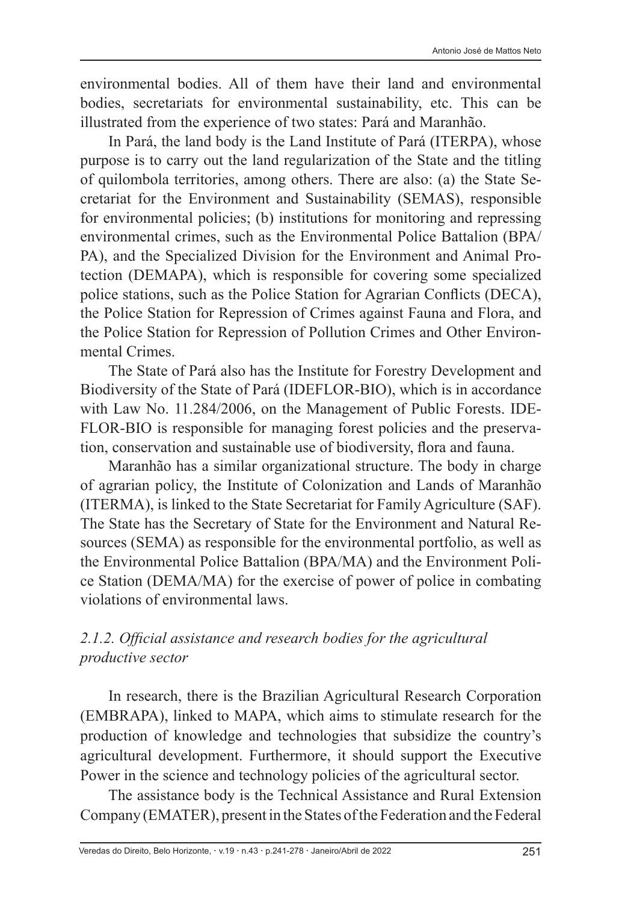environmental bodies. All of them have their land and environmental bodies, secretariats for environmental sustainability, etc. This can be illustrated from the experience of two states: Pará and Maranhão.

In Pará, the land body is the Land Institute of Pará (ITERPA), whose purpose is to carry out the land regularization of the State and the titling of quilombola territories, among others. There are also: (a) the State Secretariat for the Environment and Sustainability (SEMAS), responsible for environmental policies; (b) institutions for monitoring and repressing environmental crimes, such as the Environmental Police Battalion (BPA/ PA), and the Specialized Division for the Environment and Animal Protection (DEMAPA), which is responsible for covering some specialized police stations, such as the Police Station for Agrarian Conflicts (DECA), the Police Station for Repression of Crimes against Fauna and Flora, and the Police Station for Repression of Pollution Crimes and Other Environmental Crimes.

The State of Pará also has the Institute for Forestry Development and Biodiversity of the State of Pará (IDEFLOR-BIO), which is in accordance with Law No. 11.284/2006, on the Management of Public Forests. IDE-FLOR-BIO is responsible for managing forest policies and the preservation, conservation and sustainable use of biodiversity, flora and fauna.

Maranhão has a similar organizational structure. The body in charge of agrarian policy, the Institute of Colonization and Lands of Maranhão (ITERMA), is linked to the State Secretariat for Family Agriculture (SAF). The State has the Secretary of State for the Environment and Natural Resources (SEMA) as responsible for the environmental portfolio, as well as the Environmental Police Battalion (BPA/MA) and the Environment Police Station (DEMA/MA) for the exercise of power of police in combating violations of environmental laws.

#### *2.1.2. Official assistance and research bodies for the agricultural productive sector*

In research, there is the Brazilian Agricultural Research Corporation (EMBRAPA), linked to MAPA, which aims to stimulate research for the production of knowledge and technologies that subsidize the country's agricultural development. Furthermore, it should support the Executive Power in the science and technology policies of the agricultural sector.

The assistance body is the Technical Assistance and Rural Extension Company (EMATER), present in the States of the Federation and the Federal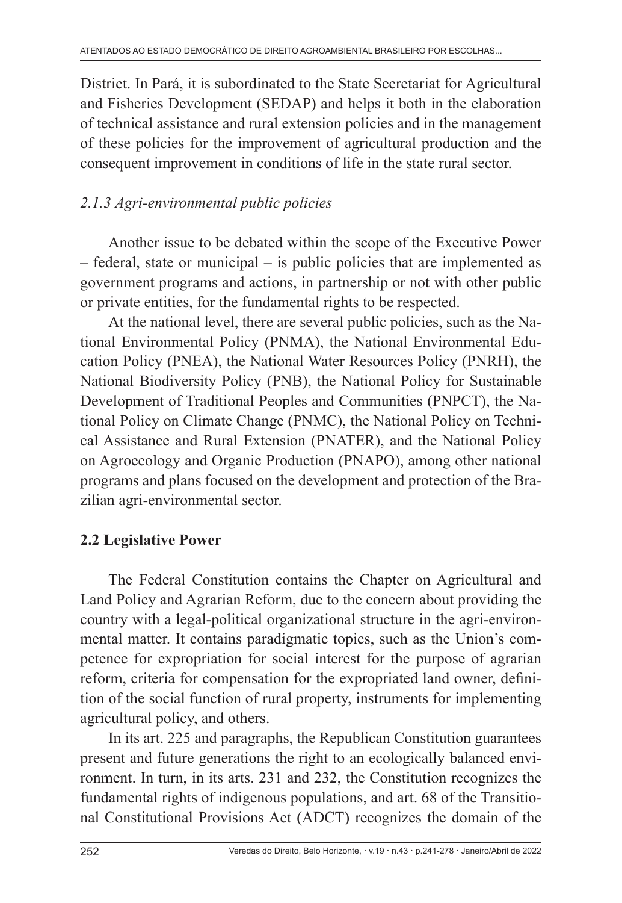District. In Pará, it is subordinated to the State Secretariat for Agricultural and Fisheries Development (SEDAP) and helps it both in the elaboration of technical assistance and rural extension policies and in the management of these policies for the improvement of agricultural production and the consequent improvement in conditions of life in the state rural sector.

### *2.1.3 Agri-environmental public policies*

Another issue to be debated within the scope of the Executive Power  $-$  federal, state or municipal  $-$  is public policies that are implemented as government programs and actions, in partnership or not with other public or private entities, for the fundamental rights to be respected.

At the national level, there are several public policies, such as the National Environmental Policy (PNMA), the National Environmental Education Policy (PNEA), the National Water Resources Policy (PNRH), the National Biodiversity Policy (PNB), the National Policy for Sustainable Development of Traditional Peoples and Communities (PNPCT), the National Policy on Climate Change (PNMC), the National Policy on Technical Assistance and Rural Extension (PNATER), and the National Policy on Agroecology and Organic Production (PNAPO), among other national programs and plans focused on the development and protection of the Brazilian agri-environmental sector.

# **2.2 Legislative Power**

The Federal Constitution contains the Chapter on Agricultural and Land Policy and Agrarian Reform, due to the concern about providing the country with a legal-political organizational structure in the agri-environmental matter. It contains paradigmatic topics, such as the Union's competence for expropriation for social interest for the purpose of agrarian reform, criteria for compensation for the expropriated land owner, definition of the social function of rural property, instruments for implementing agricultural policy, and others.

In its art. 225 and paragraphs, the Republican Constitution guarantees present and future generations the right to an ecologically balanced environment. In turn, in its arts. 231 and 232, the Constitution recognizes the fundamental rights of indigenous populations, and art. 68 of the Transitional Constitutional Provisions Act (ADCT) recognizes the domain of the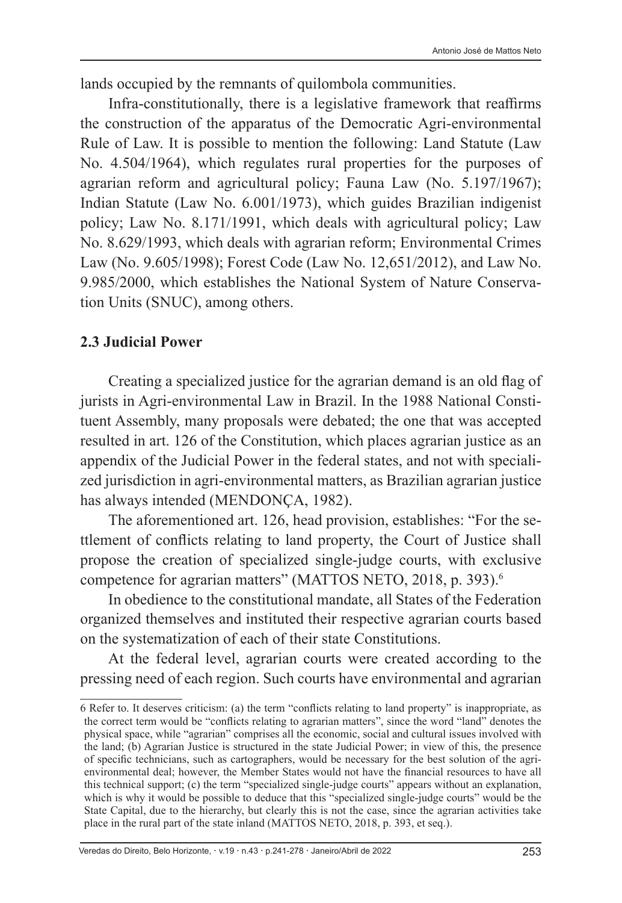lands occupied by the remnants of quilombola communities.

Infra-constitutionally, there is a legislative framework that reaffirms the construction of the apparatus of the Democratic Agri-environmental Rule of Law. It is possible to mention the following: Land Statute (Law No. 4.504/1964), which regulates rural properties for the purposes of agrarian reform and agricultural policy; Fauna Law (No. 5.197/1967); Indian Statute (Law No. 6.001/1973), which guides Brazilian indigenist policy; Law No. 8.171/1991, which deals with agricultural policy; Law No. 8.629/1993, which deals with agrarian reform; Environmental Crimes Law (No. 9.605/1998); Forest Code (Law No. 12,651/2012), and Law No. 9.985/2000, which establishes the National System of Nature Conservation Units (SNUC), among others.

#### **2.3 Judicial Power**

Creating a specialized justice for the agrarian demand is an old flag of jurists in Agri-environmental Law in Brazil. In the 1988 National Constituent Assembly, many proposals were debated; the one that was accepted resulted in art. 126 of the Constitution, which places agrarian justice as an appendix of the Judicial Power in the federal states, and not with specialized jurisdiction in agri-environmental matters, as Brazilian agrarian justice has always intended (MENDONÇA, 1982).

The aforementioned art. 126, head provision, establishes: "For the settlement of conflicts relating to land property, the Court of Justice shall propose the creation of specialized single-judge courts, with exclusive competence for agrarian matters" (MATTOS NETO, 2018, p. 393).<sup>6</sup>

In obedience to the constitutional mandate, all States of the Federation organized themselves and instituted their respective agrarian courts based on the systematization of each of their state Constitutions.

At the federal level, agrarian courts were created according to the pressing need of each region. Such courts have environmental and agrarian

Veredas do Direito, Belo Horizonte, · v.19 · n.43 · p.241-278 · Janeiro/Abril de 2022 253

<sup>6</sup> Refer to. It deserves criticism: (a) the term "conflicts relating to land property" is inappropriate, as the correct term would be "conflicts relating to agrarian matters", since the word "land" denotes the physical space, while "agrarian" comprises all the economic, social and cultural issues involved with the land; (b) Agrarian Justice is structured in the state Judicial Power; in view of this, the presence of specific technicians, such as cartographers, would be necessary for the best solution of the agrienvironmental deal; however, the Member States would not have the financial resources to have all this technical support; (c) the term "specialized single-judge courts" appears without an explanation, which is why it would be possible to deduce that this "specialized single-judge courts" would be the State Capital, due to the hierarchy, but clearly this is not the case, since the agrarian activities take place in the rural part of the state inland (MATTOS NETO, 2018, p. 393, et seq.).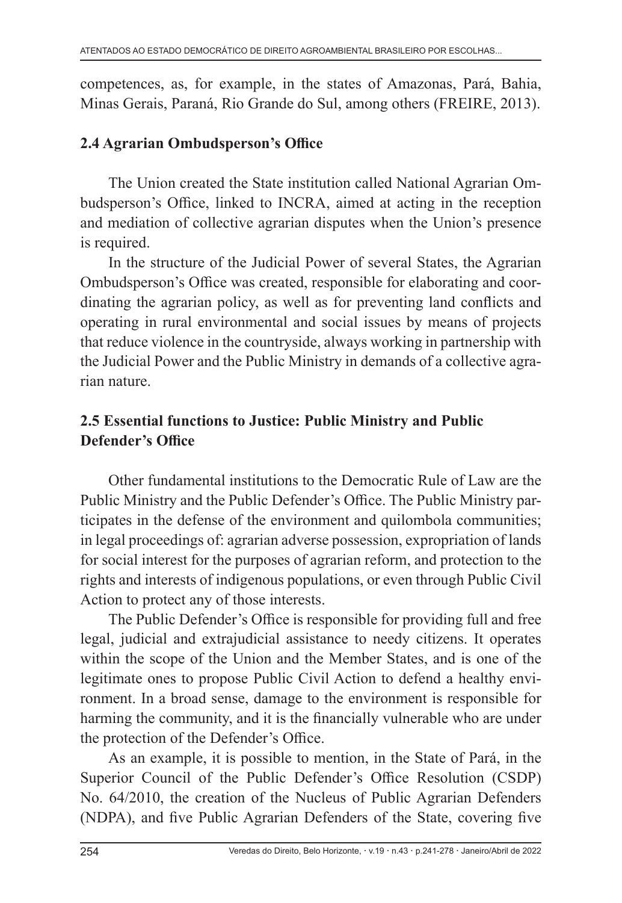competences, as, for example, in the states of Amazonas, Pará, Bahia, Minas Gerais, Paraná, Rio Grande do Sul, among others (FREIRE, 2013).

#### **2.4 Agrarian Ombudsperson's Office**

The Union created the State institution called National Agrarian Ombudsperson's Office, linked to INCRA, aimed at acting in the reception and mediation of collective agrarian disputes when the Union's presence is required.

In the structure of the Judicial Power of several States, the Agrarian Ombudsperson's Office was created, responsible for elaborating and coordinating the agrarian policy, as well as for preventing land conflicts and operating in rural environmental and social issues by means of projects that reduce violence in the countryside, always working in partnership with the Judicial Power and the Public Ministry in demands of a collective agrarian nature.

### **2.5 Essential functions to Justice: Public Ministry and Public Defender's Office**

Other fundamental institutions to the Democratic Rule of Law are the Public Ministry and the Public Defender's Office. The Public Ministry participates in the defense of the environment and quilombola communities; in legal proceedings of: agrarian adverse possession, expropriation of lands for social interest for the purposes of agrarian reform, and protection to the rights and interests of indigenous populations, or even through Public Civil Action to protect any of those interests.

The Public Defender's Office is responsible for providing full and free legal, judicial and extrajudicial assistance to needy citizens. It operates within the scope of the Union and the Member States, and is one of the legitimate ones to propose Public Civil Action to defend a healthy environment. In a broad sense, damage to the environment is responsible for harming the community, and it is the financially vulnerable who are under the protection of the Defender's Office.

As an example, it is possible to mention, in the State of Pará, in the Superior Council of the Public Defender's Office Resolution (CSDP) No. 64/2010, the creation of the Nucleus of Public Agrarian Defenders (NDPA), and five Public Agrarian Defenders of the State, covering five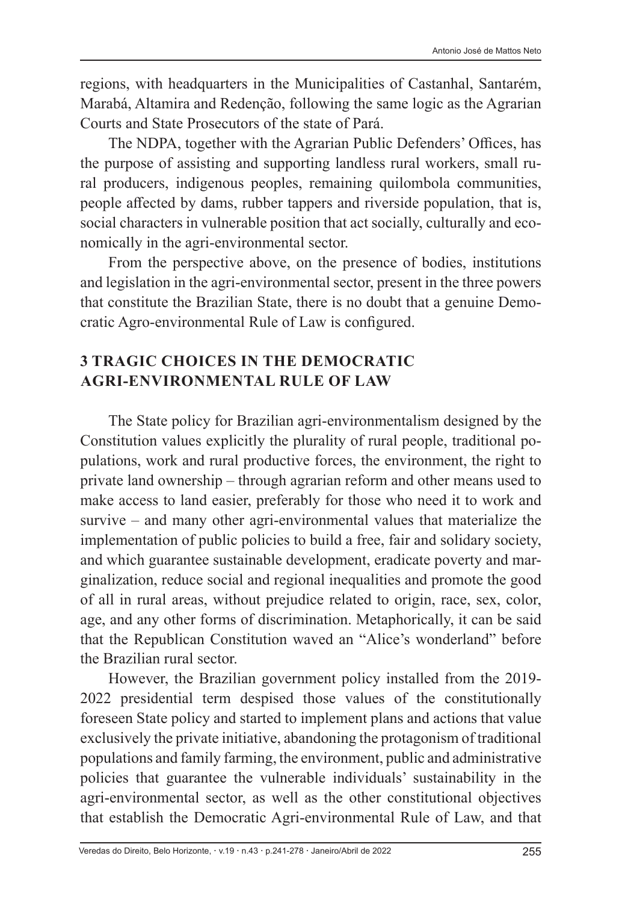regions, with headquarters in the Municipalities of Castanhal, Santarém, Marabá, Altamira and Redenção, following the same logic as the Agrarian Courts and State Prosecutors of the state of Pará.

The NDPA, together with the Agrarian Public Defenders' Offices, has the purpose of assisting and supporting landless rural workers, small rural producers, indigenous peoples, remaining quilombola communities, people affected by dams, rubber tappers and riverside population, that is, social characters in vulnerable position that act socially, culturally and economically in the agri-environmental sector.

From the perspective above, on the presence of bodies, institutions and legislation in the agri-environmental sector, present in the three powers that constitute the Brazilian State, there is no doubt that a genuine Democratic Agro-environmental Rule of Law is configured.

### **3 TRAGIC CHOICES IN THE DEMOCRATIC AGRI-ENVIRONMENTAL RULE OF LAW**

The State policy for Brazilian agri-environmentalism designed by the Constitution values explicitly the plurality of rural people, traditional populations, work and rural productive forces, the environment, the right to private land ownership ‒ through agrarian reform and other means used to make access to land easier, preferably for those who need it to work and survive – and many other agri-environmental values that materialize the implementation of public policies to build a free, fair and solidary society, and which guarantee sustainable development, eradicate poverty and marginalization, reduce social and regional inequalities and promote the good of all in rural areas, without prejudice related to origin, race, sex, color, age, and any other forms of discrimination. Metaphorically, it can be said that the Republican Constitution waved an "Alice's wonderland" before the Brazilian rural sector.

However, the Brazilian government policy installed from the 2019- 2022 presidential term despised those values of the constitutionally foreseen State policy and started to implement plans and actions that value exclusively the private initiative, abandoning the protagonism of traditional populations and family farming, the environment, public and administrative policies that guarantee the vulnerable individuals' sustainability in the agri-environmental sector, as well as the other constitutional objectives that establish the Democratic Agri-environmental Rule of Law, and that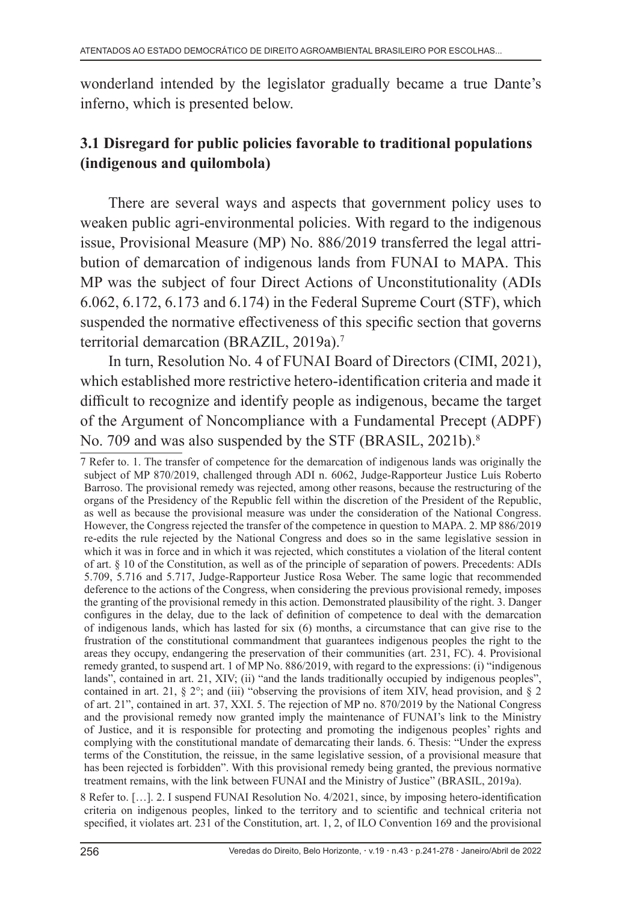wonderland intended by the legislator gradually became a true Dante's inferno, which is presented below.

# **3.1 Disregard for public policies favorable to traditional populations (indigenous and quilombola)**

There are several ways and aspects that government policy uses to weaken public agri-environmental policies. With regard to the indigenous issue, Provisional Measure (MP) No. 886/2019 transferred the legal attribution of demarcation of indigenous lands from FUNAI to MAPA. This MP was the subject of four Direct Actions of Unconstitutionality (ADIs 6.062, 6.172, 6.173 and 6.174) in the Federal Supreme Court (STF), which suspended the normative effectiveness of this specific section that governs territorial demarcation (BRAZIL, 2019a).<sup>7</sup>

In turn, Resolution No. 4 of FUNAI Board of Directors (CIMI, 2021), which established more restrictive hetero-identification criteria and made it difficult to recognize and identify people as indigenous, became the target of the Argument of Noncompliance with a Fundamental Precept (ADPF) No. 709 and was also suspended by the STF (BRASIL, 2021b).<sup>8</sup>

8 Refer to. […]. 2. I suspend FUNAI Resolution No. 4/2021, since, by imposing hetero-identification criteria on indigenous peoples, linked to the territory and to scientific and technical criteria not specified, it violates art. 231 of the Constitution, art. 1, 2, of ILO Convention 169 and the provisional

<sup>7</sup> Refer to. 1. The transfer of competence for the demarcation of indigenous lands was originally the subject of MP 870/2019, challenged through ADI n. 6062, Judge-Rapporteur Justice Luís Roberto Barroso. The provisional remedy was rejected, among other reasons, because the restructuring of the organs of the Presidency of the Republic fell within the discretion of the President of the Republic, as well as because the provisional measure was under the consideration of the National Congress. However, the Congress rejected the transfer of the competence in question to MAPA. 2. MP 886/2019 re-edits the rule rejected by the National Congress and does so in the same legislative session in which it was in force and in which it was rejected, which constitutes a violation of the literal content of art. § 10 of the Constitution, as well as of the principle of separation of powers. Precedents: ADIs 5.709, 5.716 and 5.717, Judge-Rapporteur Justice Rosa Weber. The same logic that recommended deference to the actions of the Congress, when considering the previous provisional remedy, imposes the granting of the provisional remedy in this action. Demonstrated plausibility of the right. 3. Danger configures in the delay, due to the lack of definition of competence to deal with the demarcation of indigenous lands, which has lasted for six (6) months, a circumstance that can give rise to the frustration of the constitutional commandment that guarantees indigenous peoples the right to the areas they occupy, endangering the preservation of their communities (art. 231, FC). 4. Provisional remedy granted, to suspend art. 1 of MP No. 886/2019, with regard to the expressions: (i) "indigenous lands", contained in art. 21, XIV; (ii) "and the lands traditionally occupied by indigenous peoples", contained in art. 21, § 2°; and (iii) "observing the provisions of item XIV, head provision, and § 2 of art. 21", contained in art. 37, XXI. 5. The rejection of MP no. 870/2019 by the National Congress and the provisional remedy now granted imply the maintenance of FUNAI's link to the Ministry of Justice, and it is responsible for protecting and promoting the indigenous peoples' rights and complying with the constitutional mandate of demarcating their lands. 6. Thesis: "Under the express terms of the Constitution, the reissue, in the same legislative session, of a provisional measure that has been rejected is forbidden". With this provisional remedy being granted, the previous normative treatment remains, with the link between FUNAI and the Ministry of Justice" (BRASIL, 2019a).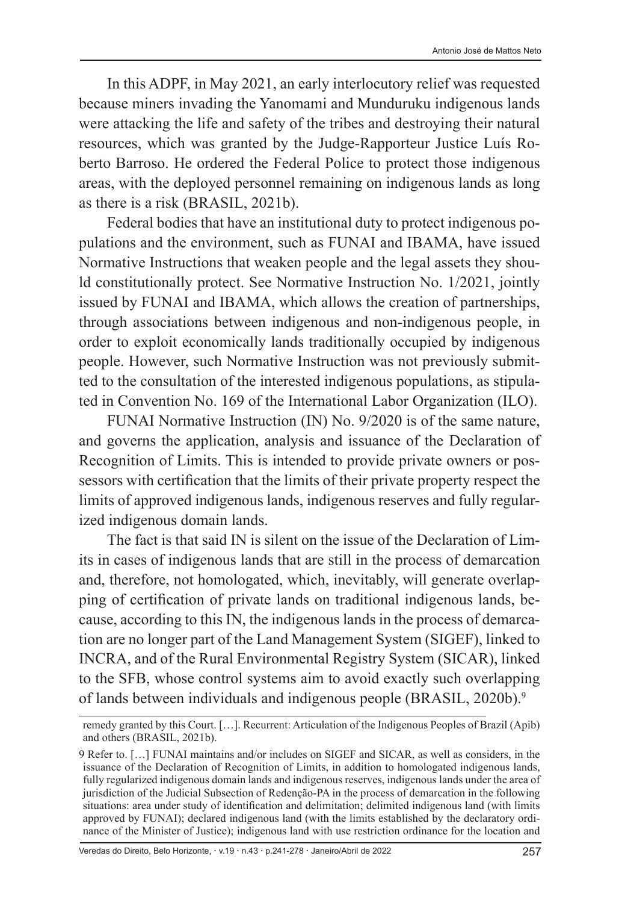In this ADPF, in May 2021, an early interlocutory relief was requested because miners invading the Yanomami and Munduruku indigenous lands were attacking the life and safety of the tribes and destroying their natural resources, which was granted by the Judge-Rapporteur Justice Luís Roberto Barroso. He ordered the Federal Police to protect those indigenous areas, with the deployed personnel remaining on indigenous lands as long as there is a risk (BRASIL, 2021b).

Federal bodies that have an institutional duty to protect indigenous populations and the environment, such as FUNAI and IBAMA, have issued Normative Instructions that weaken people and the legal assets they should constitutionally protect. See Normative Instruction No. 1/2021, jointly issued by FUNAI and IBAMA, which allows the creation of partnerships, through associations between indigenous and non-indigenous people, in order to exploit economically lands traditionally occupied by indigenous people. However, such Normative Instruction was not previously submitted to the consultation of the interested indigenous populations, as stipulated in Convention No. 169 of the International Labor Organization (ILO).

FUNAI Normative Instruction (IN) No. 9/2020 is of the same nature, and governs the application, analysis and issuance of the Declaration of Recognition of Limits. This is intended to provide private owners or possessors with certification that the limits of their private property respect the limits of approved indigenous lands, indigenous reserves and fully regularized indigenous domain lands.

The fact is that said IN is silent on the issue of the Declaration of Limits in cases of indigenous lands that are still in the process of demarcation and, therefore, not homologated, which, inevitably, will generate overlapping of certification of private lands on traditional indigenous lands, because, according to this IN, the indigenous lands in the process of demarcation are no longer part of the Land Management System (SIGEF), linked to INCRA, and of the Rural Environmental Registry System (SICAR), linked to the SFB, whose control systems aim to avoid exactly such overlapping of lands between individuals and indigenous people (BRASIL, 2020b).<sup>9</sup>

remedy granted by this Court. […]. Recurrent: Articulation of the Indigenous Peoples of Brazil (Apib) and others (BRASIL, 2021b).

<sup>9</sup> Refer to. […] FUNAI maintains and/or includes on SIGEF and SICAR, as well as considers, in the issuance of the Declaration of Recognition of Limits, in addition to homologated indigenous lands, fully regularized indigenous domain lands and indigenous reserves, indigenous lands under the area of jurisdiction of the Judicial Subsection of Redenção-PA in the process of demarcation in the following situations: area under study of identification and delimitation; delimited indigenous land (with limits approved by FUNAI); declared indigenous land (with the limits established by the declaratory ordinance of the Minister of Justice); indigenous land with use restriction ordinance for the location and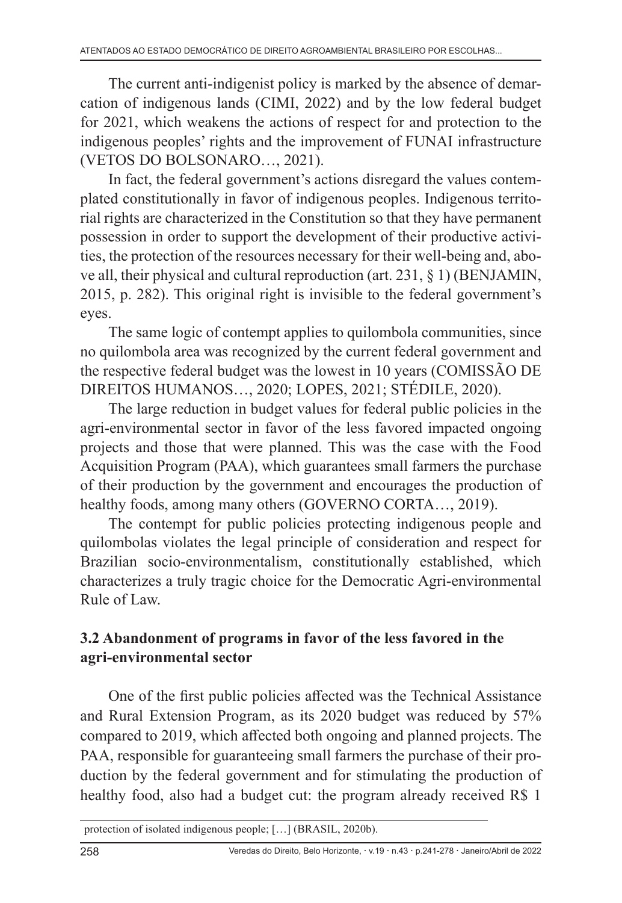The current anti-indigenist policy is marked by the absence of demarcation of indigenous lands (CIMI, 2022) and by the low federal budget for 2021, which weakens the actions of respect for and protection to the indigenous peoples' rights and the improvement of FUNAI infrastructure (VETOS DO BOLSONARO…, 2021).

In fact, the federal government's actions disregard the values contemplated constitutionally in favor of indigenous peoples. Indigenous territorial rights are characterized in the Constitution so that they have permanent possession in order to support the development of their productive activities, the protection of the resources necessary for their well-being and, above all, their physical and cultural reproduction (art. 231, § 1) (BENJAMIN, 2015, p. 282). This original right is invisible to the federal government's eyes.

The same logic of contempt applies to quilombola communities, since no quilombola area was recognized by the current federal government and the respective federal budget was the lowest in 10 years (COMISSÃO DE DIREITOS HUMANOS…, 2020; LOPES, 2021; STÉDILE, 2020).

The large reduction in budget values for federal public policies in the agri-environmental sector in favor of the less favored impacted ongoing projects and those that were planned. This was the case with the Food Acquisition Program (PAA), which guarantees small farmers the purchase of their production by the government and encourages the production of healthy foods, among many others (GOVERNO CORTA…, 2019).

The contempt for public policies protecting indigenous people and quilombolas violates the legal principle of consideration and respect for Brazilian socio-environmentalism, constitutionally established, which characterizes a truly tragic choice for the Democratic Agri-environmental Rule of Law.

# **3.2 Abandonment of programs in favor of the less favored in the agri-environmental sector**

One of the first public policies affected was the Technical Assistance and Rural Extension Program, as its 2020 budget was reduced by 57% compared to 2019, which affected both ongoing and planned projects. The PAA, responsible for guaranteeing small farmers the purchase of their production by the federal government and for stimulating the production of healthy food, also had a budget cut: the program already received R\$ 1

protection of isolated indigenous people; […] (BRASIL, 2020b).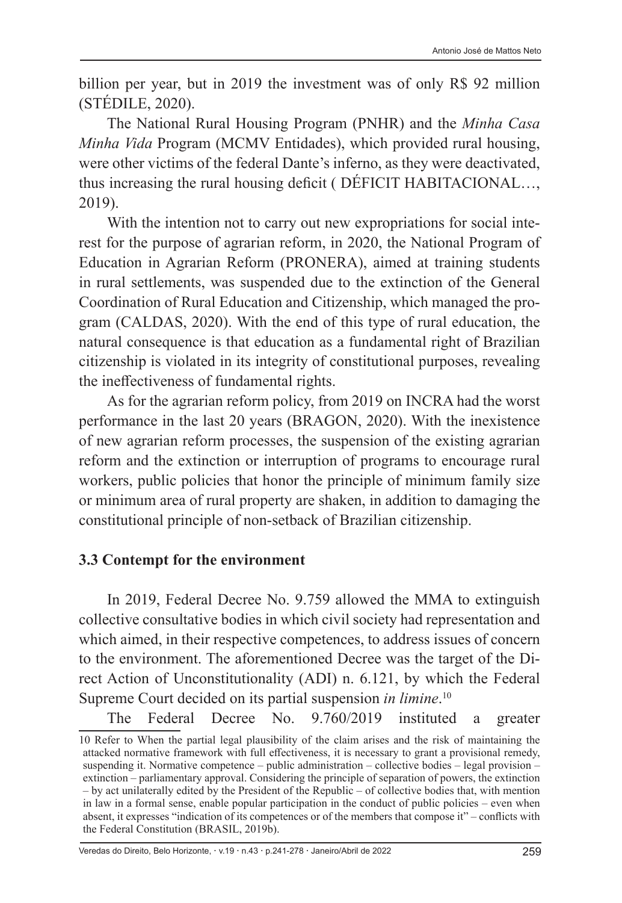billion per year, but in 2019 the investment was of only R\$ 92 million (STÉDILE, 2020).

The National Rural Housing Program (PNHR) and the *Minha Casa Minha Vida* Program (MCMV Entidades), which provided rural housing, were other victims of the federal Dante's inferno, as they were deactivated, thus increasing the rural housing deficit ( DÉFICIT HABITACIONAL…, 2019).

With the intention not to carry out new expropriations for social interest for the purpose of agrarian reform, in 2020, the National Program of Education in Agrarian Reform (PRONERA), aimed at training students in rural settlements, was suspended due to the extinction of the General Coordination of Rural Education and Citizenship, which managed the program (CALDAS, 2020). With the end of this type of rural education, the natural consequence is that education as a fundamental right of Brazilian citizenship is violated in its integrity of constitutional purposes, revealing the ineffectiveness of fundamental rights.

As for the agrarian reform policy, from 2019 on INCRA had the worst performance in the last 20 years (BRAGON, 2020). With the inexistence of new agrarian reform processes, the suspension of the existing agrarian reform and the extinction or interruption of programs to encourage rural workers, public policies that honor the principle of minimum family size or minimum area of rural property are shaken, in addition to damaging the constitutional principle of non-setback of Brazilian citizenship.

#### **3.3 Contempt for the environment**

In 2019, Federal Decree No. 9.759 allowed the MMA to extinguish collective consultative bodies in which civil society had representation and which aimed, in their respective competences, to address issues of concern to the environment. The aforementioned Decree was the target of the Direct Action of Unconstitutionality (ADI) n. 6.121, by which the Federal Supreme Court decided on its partial suspension *in limine*. 10

The Federal Decree No. 9.760/2019 instituted a greater

Veredas do Direito, Belo Horizonte, · v.19 · n.43 · p.241-278 · Janeiro/Abril de 2022 259

<sup>10</sup> Refer to When the partial legal plausibility of the claim arises and the risk of maintaining the attacked normative framework with full effectiveness, it is necessary to grant a provisional remedy, suspending it. Normative competence – public administration – collective bodies – legal provision – extinction – parliamentary approval. Considering the principle of separation of powers, the extinction – by act unilaterally edited by the President of the Republic – of collective bodies that, with mention in law in a formal sense, enable popular participation in the conduct of public policies – even when absent, it expresses "indication of its competences or of the members that compose it" – conflicts with the Federal Constitution (BRASIL, 2019b).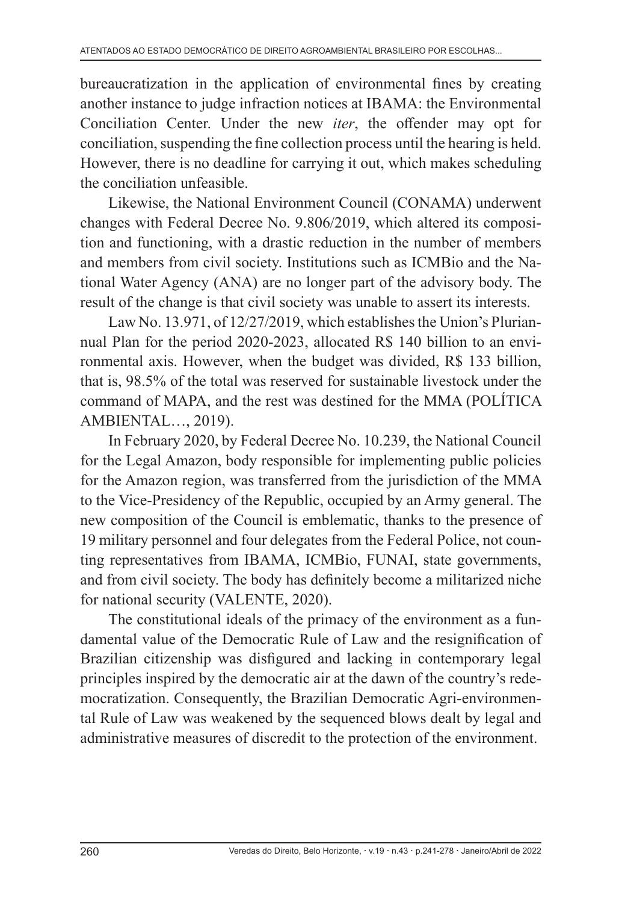bureaucratization in the application of environmental fines by creating another instance to judge infraction notices at IBAMA: the Environmental Conciliation Center. Under the new *iter*, the offender may opt for conciliation, suspending the fine collection process until the hearing is held. However, there is no deadline for carrying it out, which makes scheduling the conciliation unfeasible.

Likewise, the National Environment Council (CONAMA) underwent changes with Federal Decree No. 9.806/2019, which altered its composition and functioning, with a drastic reduction in the number of members and members from civil society. Institutions such as ICMBio and the National Water Agency (ANA) are no longer part of the advisory body. The result of the change is that civil society was unable to assert its interests.

Law No. 13.971, of 12/27/2019, which establishes the Union's Pluriannual Plan for the period 2020-2023, allocated R\$ 140 billion to an environmental axis. However, when the budget was divided, R\$ 133 billion, that is, 98.5% of the total was reserved for sustainable livestock under the command of MAPA, and the rest was destined for the MMA (POLÍTICA AMBIENTAL…, 2019).

In February 2020, by Federal Decree No. 10.239, the National Council for the Legal Amazon, body responsible for implementing public policies for the Amazon region, was transferred from the jurisdiction of the MMA to the Vice-Presidency of the Republic, occupied by an Army general. The new composition of the Council is emblematic, thanks to the presence of 19 military personnel and four delegates from the Federal Police, not counting representatives from IBAMA, ICMBio, FUNAI, state governments, and from civil society. The body has definitely become a militarized niche for national security (VALENTE, 2020).

The constitutional ideals of the primacy of the environment as a fundamental value of the Democratic Rule of Law and the resignification of Brazilian citizenship was disfigured and lacking in contemporary legal principles inspired by the democratic air at the dawn of the country's redemocratization. Consequently, the Brazilian Democratic Agri-environmental Rule of Law was weakened by the sequenced blows dealt by legal and administrative measures of discredit to the protection of the environment.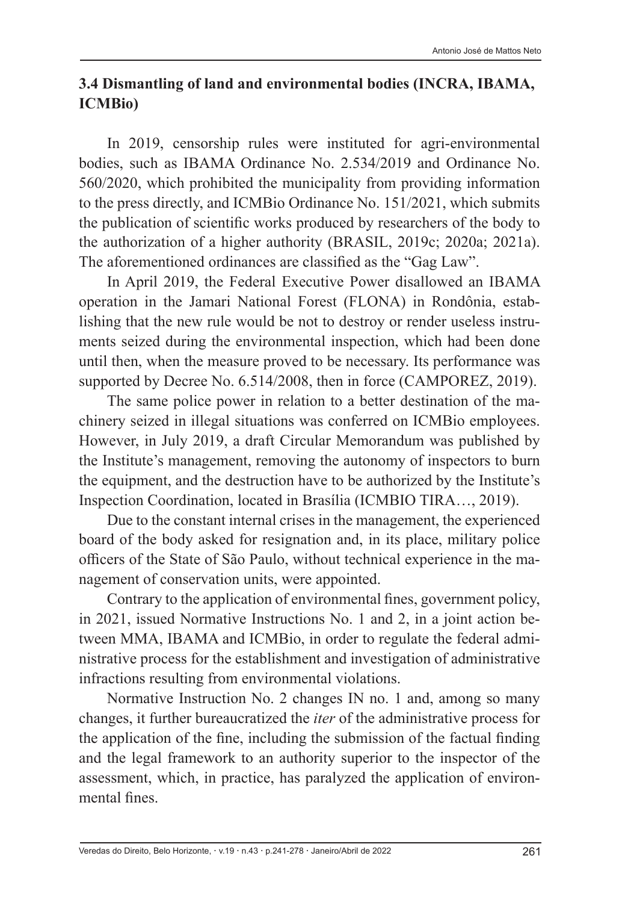#### **3.4 Dismantling of land and environmental bodies (INCRA, IBAMA, ICMBio)**

In 2019, censorship rules were instituted for agri-environmental bodies, such as IBAMA Ordinance No. 2.534/2019 and Ordinance No. 560/2020, which prohibited the municipality from providing information to the press directly, and ICMBio Ordinance No. 151/2021, which submits the publication of scientific works produced by researchers of the body to the authorization of a higher authority (BRASIL, 2019c; 2020a; 2021a). The aforementioned ordinances are classified as the "Gag Law".

In April 2019, the Federal Executive Power disallowed an IBAMA operation in the Jamari National Forest (FLONA) in Rondônia, establishing that the new rule would be not to destroy or render useless instruments seized during the environmental inspection, which had been done until then, when the measure proved to be necessary. Its performance was supported by Decree No. 6.514/2008, then in force (CAMPOREZ, 2019).

The same police power in relation to a better destination of the machinery seized in illegal situations was conferred on ICMBio employees. However, in July 2019, a draft Circular Memorandum was published by the Institute's management, removing the autonomy of inspectors to burn the equipment, and the destruction have to be authorized by the Institute's Inspection Coordination, located in Brasília (ICMBIO TIRA…, 2019).

Due to the constant internal crises in the management, the experienced board of the body asked for resignation and, in its place, military police officers of the State of São Paulo, without technical experience in the management of conservation units, were appointed.

Contrary to the application of environmental fines, government policy, in 2021, issued Normative Instructions No. 1 and 2, in a joint action between MMA, IBAMA and ICMBio, in order to regulate the federal administrative process for the establishment and investigation of administrative infractions resulting from environmental violations.

Normative Instruction No. 2 changes IN no. 1 and, among so many changes, it further bureaucratized the *iter* of the administrative process for the application of the fine, including the submission of the factual finding and the legal framework to an authority superior to the inspector of the assessment, which, in practice, has paralyzed the application of environmental fines.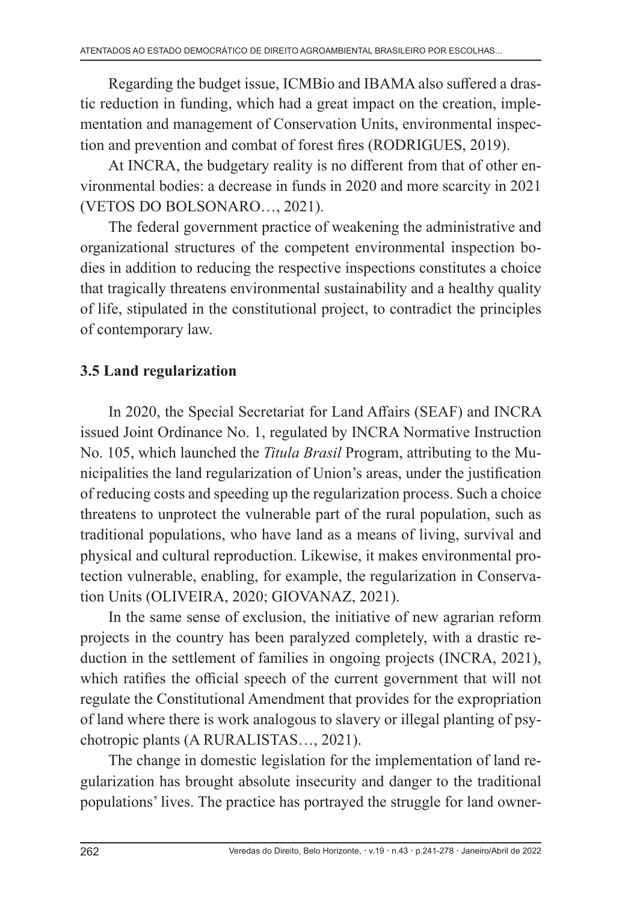Regarding the budget issue, ICMBio and IBAMA also suffered a drastic reduction in funding, which had a great impact on the creation, implementation and management of Conservation Units, environmental inspection and prevention and combat of forest fires (RODRIGUES, 2019).

At INCRA, the budgetary reality is no different from that of other environmental bodies: a decrease in funds in 2020 and more scarcity in 2021 (VETOS DO BOLSONARO…, 2021).

The federal government practice of weakening the administrative and organizational structures of the competent environmental inspection bodies in addition to reducing the respective inspections constitutes a choice that tragically threatens environmental sustainability and a healthy quality of life, stipulated in the constitutional project, to contradict the principles of contemporary law.

### **3.5 Land regularization**

In 2020, the Special Secretariat for Land Affairs (SEAF) and INCRA issued Joint Ordinance No. 1, regulated by INCRA Normative Instruction No. 105, which launched the *Titula Brasil* Program, attributing to the Municipalities the land regularization of Union's areas, under the justification of reducing costs and speeding up the regularization process. Such a choice threatens to unprotect the vulnerable part of the rural population, such as traditional populations, who have land as a means of living, survival and physical and cultural reproduction. Likewise, it makes environmental protection vulnerable, enabling, for example, the regularization in Conservation Units (OLIVEIRA, 2020; GIOVANAZ, 2021).

In the same sense of exclusion, the initiative of new agrarian reform projects in the country has been paralyzed completely, with a drastic reduction in the settlement of families in ongoing projects (INCRA, 2021), which ratifies the official speech of the current government that will not regulate the Constitutional Amendment that provides for the expropriation of land where there is work analogous to slavery or illegal planting of psychotropic plants (A RURALISTAS…, 2021).

The change in domestic legislation for the implementation of land regularization has brought absolute insecurity and danger to the traditional populations' lives. The practice has portrayed the struggle for land owner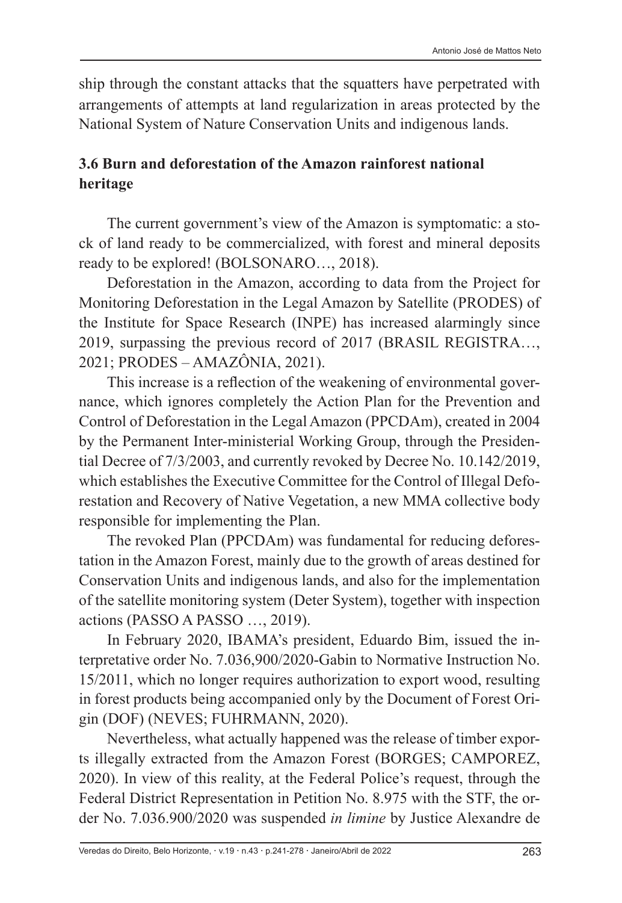ship through the constant attacks that the squatters have perpetrated with arrangements of attempts at land regularization in areas protected by the National System of Nature Conservation Units and indigenous lands.

# **3.6 Burn and deforestation of the Amazon rainforest national heritage**

The current government's view of the Amazon is symptomatic: a stock of land ready to be commercialized, with forest and mineral deposits ready to be explored! (BOLSONARO…, 2018).

Deforestation in the Amazon, according to data from the Project for Monitoring Deforestation in the Legal Amazon by Satellite (PRODES) of the Institute for Space Research (INPE) has increased alarmingly since 2019, surpassing the previous record of 2017 (BRASIL REGISTRA…, 2021; PRODES – AMAZÔNIA, 2021).

This increase is a reflection of the weakening of environmental governance, which ignores completely the Action Plan for the Prevention and Control of Deforestation in the Legal Amazon (PPCDAm), created in 2004 by the Permanent Inter-ministerial Working Group, through the Presidential Decree of 7/3/2003, and currently revoked by Decree No. 10.142/2019, which establishes the Executive Committee for the Control of Illegal Deforestation and Recovery of Native Vegetation, a new MMA collective body responsible for implementing the Plan.

The revoked Plan (PPCDAm) was fundamental for reducing deforestation in the Amazon Forest, mainly due to the growth of areas destined for Conservation Units and indigenous lands, and also for the implementation of the satellite monitoring system (Deter System), together with inspection actions (PASSO A PASSO …, 2019).

In February 2020, IBAMA's president, Eduardo Bim, issued the interpretative order No. 7.036,900/2020-Gabin to Normative Instruction No. 15/2011, which no longer requires authorization to export wood, resulting in forest products being accompanied only by the Document of Forest Origin (DOF) (NEVES; FUHRMANN, 2020).

Nevertheless, what actually happened was the release of timber exports illegally extracted from the Amazon Forest (BORGES; CAMPOREZ, 2020). In view of this reality, at the Federal Police's request, through the Federal District Representation in Petition No. 8.975 with the STF, the order No. 7.036.900/2020 was suspended *in limine* by Justice Alexandre de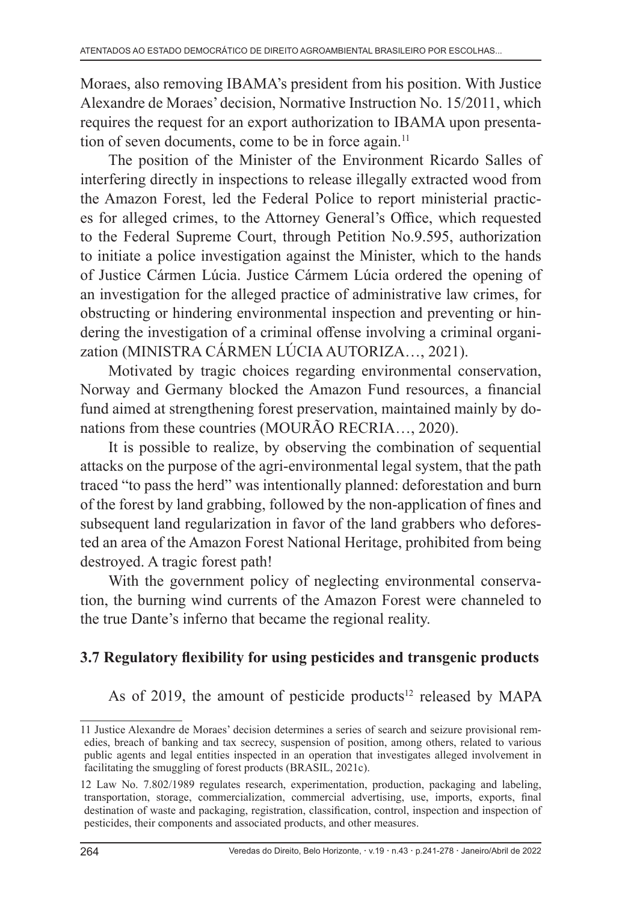Moraes, also removing IBAMA's president from his position. With Justice Alexandre de Moraes' decision, Normative Instruction No. 15/2011, which requires the request for an export authorization to IBAMA upon presentation of seven documents, come to be in force again.<sup>11</sup>

The position of the Minister of the Environment Ricardo Salles of interfering directly in inspections to release illegally extracted wood from the Amazon Forest, led the Federal Police to report ministerial practices for alleged crimes, to the Attorney General's Office, which requested to the Federal Supreme Court, through Petition No.9.595, authorization to initiate a police investigation against the Minister, which to the hands of Justice Cármen Lúcia. Justice Cármem Lúcia ordered the opening of an investigation for the alleged practice of administrative law crimes, for obstructing or hindering environmental inspection and preventing or hindering the investigation of a criminal offense involving a criminal organization (MINISTRA CÁRMEN LÚCIA AUTORIZA…, 2021).

Motivated by tragic choices regarding environmental conservation, Norway and Germany blocked the Amazon Fund resources, a financial fund aimed at strengthening forest preservation, maintained mainly by donations from these countries (MOURÃO RECRIA…, 2020).

It is possible to realize, by observing the combination of sequential attacks on the purpose of the agri-environmental legal system, that the path traced "to pass the herd" was intentionally planned: deforestation and burn of the forest by land grabbing, followed by the non-application of fines and subsequent land regularization in favor of the land grabbers who deforested an area of the Amazon Forest National Heritage, prohibited from being destroyed. A tragic forest path!

With the government policy of neglecting environmental conservation, the burning wind currents of the Amazon Forest were channeled to the true Dante's inferno that became the regional reality.

# **3.7 Regulatory flexibility for using pesticides and transgenic products**

As of 2019, the amount of pesticide products<sup>12</sup> released by MAPA

<sup>11</sup> Justice Alexandre de Moraes' decision determines a series of search and seizure provisional remedies, breach of banking and tax secrecy, suspension of position, among others, related to various public agents and legal entities inspected in an operation that investigates alleged involvement in facilitating the smuggling of forest products (BRASIL, 2021c).

<sup>12</sup> Law No. 7.802/1989 regulates research, experimentation, production, packaging and labeling, transportation, storage, commercialization, commercial advertising, use, imports, exports, final destination of waste and packaging, registration, classification, control, inspection and inspection of pesticides, their components and associated products, and other measures.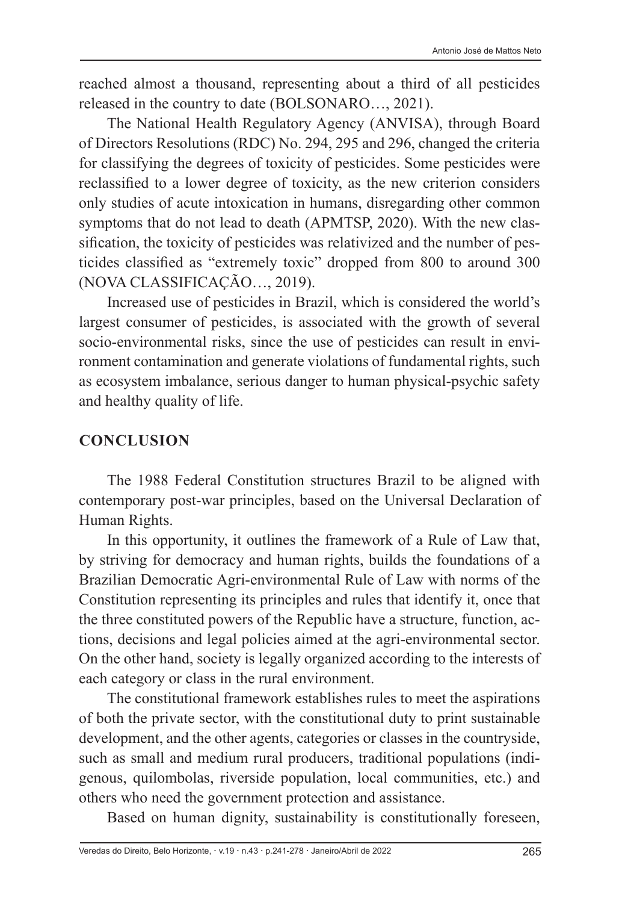reached almost a thousand, representing about a third of all pesticides released in the country to date (BOLSONARO…, 2021).

The National Health Regulatory Agency (ANVISA), through Board of Directors Resolutions (RDC) No. 294, 295 and 296, changed the criteria for classifying the degrees of toxicity of pesticides. Some pesticides were reclassified to a lower degree of toxicity, as the new criterion considers only studies of acute intoxication in humans, disregarding other common symptoms that do not lead to death (APMTSP, 2020). With the new classification, the toxicity of pesticides was relativized and the number of pesticides classified as "extremely toxic" dropped from 800 to around 300 (NOVA CLASSIFICAÇÃO…, 2019).

Increased use of pesticides in Brazil, which is considered the world's largest consumer of pesticides, is associated with the growth of several socio-environmental risks, since the use of pesticides can result in environment contamination and generate violations of fundamental rights, such as ecosystem imbalance, serious danger to human physical-psychic safety and healthy quality of life.

#### **CONCLUSION**

The 1988 Federal Constitution structures Brazil to be aligned with contemporary post-war principles, based on the Universal Declaration of Human Rights.

In this opportunity, it outlines the framework of a Rule of Law that, by striving for democracy and human rights, builds the foundations of a Brazilian Democratic Agri-environmental Rule of Law with norms of the Constitution representing its principles and rules that identify it, once that the three constituted powers of the Republic have a structure, function, actions, decisions and legal policies aimed at the agri-environmental sector. On the other hand, society is legally organized according to the interests of each category or class in the rural environment.

The constitutional framework establishes rules to meet the aspirations of both the private sector, with the constitutional duty to print sustainable development, and the other agents, categories or classes in the countryside, such as small and medium rural producers, traditional populations (indigenous, quilombolas, riverside population, local communities, etc.) and others who need the government protection and assistance.

Based on human dignity, sustainability is constitutionally foreseen,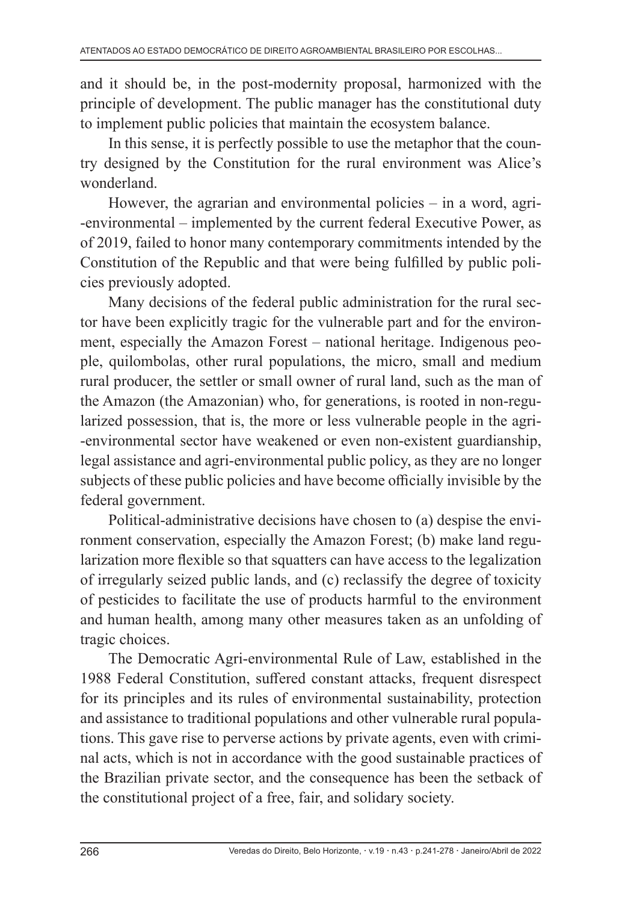and it should be, in the post-modernity proposal, harmonized with the principle of development. The public manager has the constitutional duty to implement public policies that maintain the ecosystem balance.

In this sense, it is perfectly possible to use the metaphor that the country designed by the Constitution for the rural environment was Alice's wonderland.

However, the agrarian and environmental policies  $-$  in a word, agri--environmental – implemented by the current federal Executive Power, as of 2019, failed to honor many contemporary commitments intended by the Constitution of the Republic and that were being fulfilled by public policies previously adopted.

Many decisions of the federal public administration for the rural sector have been explicitly tragic for the vulnerable part and for the environment, especially the Amazon Forest – national heritage. Indigenous people, quilombolas, other rural populations, the micro, small and medium rural producer, the settler or small owner of rural land, such as the man of the Amazon (the Amazonian) who, for generations, is rooted in non-regularized possession, that is, the more or less vulnerable people in the agri- -environmental sector have weakened or even non-existent guardianship, legal assistance and agri-environmental public policy, as they are no longer subjects of these public policies and have become officially invisible by the federal government.

Political-administrative decisions have chosen to (a) despise the environment conservation, especially the Amazon Forest; (b) make land regularization more flexible so that squatters can have access to the legalization of irregularly seized public lands, and (c) reclassify the degree of toxicity of pesticides to facilitate the use of products harmful to the environment and human health, among many other measures taken as an unfolding of tragic choices.

The Democratic Agri-environmental Rule of Law, established in the 1988 Federal Constitution, suffered constant attacks, frequent disrespect for its principles and its rules of environmental sustainability, protection and assistance to traditional populations and other vulnerable rural populations. This gave rise to perverse actions by private agents, even with criminal acts, which is not in accordance with the good sustainable practices of the Brazilian private sector, and the consequence has been the setback of the constitutional project of a free, fair, and solidary society.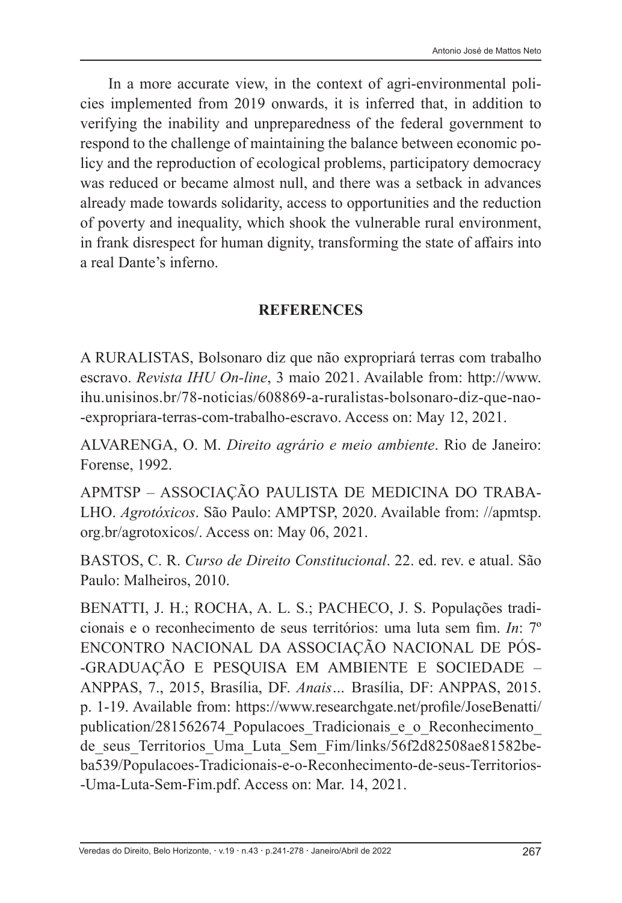In a more accurate view, in the context of agri-environmental policies implemented from 2019 onwards, it is inferred that, in addition to verifying the inability and unpreparedness of the federal government to respond to the challenge of maintaining the balance between economic policy and the reproduction of ecological problems, participatory democracy was reduced or became almost null, and there was a setback in advances already made towards solidarity, access to opportunities and the reduction of poverty and inequality, which shook the vulnerable rural environment, in frank disrespect for human dignity, transforming the state of affairs into a real Dante's inferno.

#### **REFERENCES**

A RURALISTAS, Bolsonaro diz que não expropriará terras com trabalho escravo. *Revista IHU On-line*, 3 maio 2021. Available from: http://www. ihu.unisinos.br/78-noticias/608869-a-ruralistas-bolsonaro-diz-que-nao- -expropriara-terras-com-trabalho-escravo. Access on: May 12, 2021.

ALVARENGA, O. M. *Direito agrário e meio ambiente*. Rio de Janeiro: Forense, 1992.

APMTSP – ASSOCIAÇÃO PAULISTA DE MEDICINA DO TRABA-LHO. *Agrotóxicos*. São Paulo: AMPTSP, 2020. Available from: //apmtsp. org.br/agrotoxicos/. Access on: May 06, 2021.

BASTOS, C. R. *Curso de Direito Constitucional*. 22. ed. rev. e atual. São Paulo: Malheiros, 2010.

BENATTI, J. H.; ROCHA, A. L. S.; PACHECO, J. S. Populações tradicionais e o reconhecimento de seus territórios: uma luta sem fim. *In*: 7º ENCONTRO NACIONAL DA ASSOCIAÇÃO NACIONAL DE PÓS- -GRADUAÇÃO E PESQUISA EM AMBIENTE E SOCIEDADE – ANPPAS, 7., 2015, Brasília, DF. *Anais…* Brasília, DF: ANPPAS, 2015. p. 1-19. Available from: https://www.researchgate.net/profile/JoseBenatti/ publication/281562674 Populacoes Tradicionais e o Reconhecimento de\_seus\_Territorios\_Uma\_Luta\_Sem\_Fim/links/56f2d82508ae81582beba539/Populacoes-Tradicionais-e-o-Reconhecimento-de-seus-Territorios- -Uma-Luta-Sem-Fim.pdf. Access on: Mar. 14, 2021.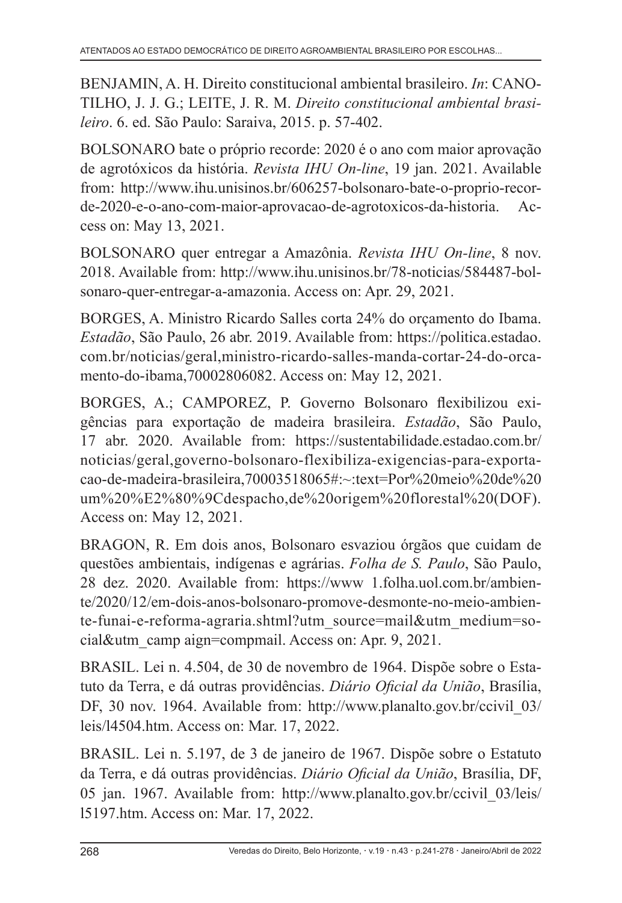BENJAMIN, A. H. Direito constitucional ambiental brasileiro. *In*: CANO-TILHO, J. J. G.; LEITE, J. R. M. *Direito constitucional ambiental brasileiro*. 6. ed. São Paulo: Saraiva, 2015. p. 57-402.

BOLSONARO bate o próprio recorde: 2020 é o ano com maior aprovação de agrotóxicos da história. *Revista IHU On-line*, 19 jan. 2021. Available from: http://www.ihu.unisinos.br/606257-bolsonaro-bate-o-proprio-recorde-2020-e-o-ano-com-maior-aprovacao-de-agrotoxicos-da-historia. Access on: May 13, 2021.

BOLSONARO quer entregar a Amazônia. *Revista IHU On-line*, 8 nov. 2018. Available from: http://www.ihu.unisinos.br/78-noticias/584487-bolsonaro-quer-entregar-a-amazonia. Access on: Apr. 29, 2021.

BORGES, A. Ministro Ricardo Salles corta 24% do orçamento do Ibama. *Estadão*, São Paulo, 26 abr. 2019. Available from: https://politica.estadao. com.br/noticias/geral,ministro-ricardo-salles-manda-cortar-24-do-orcamento-do-ibama,70002806082. Access on: May 12, 2021.

BORGES, A.; CAMPOREZ, P. Governo Bolsonaro flexibilizou exigências para exportação de madeira brasileira. *Estadão*, São Paulo, 17 abr. 2020. Available from: https://sustentabilidade.estadao.com.br/ noticias/geral,governo-bolsonaro-flexibiliza-exigencias-para-exportacao-de-madeira-brasileira,70003518065#:~:text=Por%20meio%20de%20 um%20%E2%80%9Cdespacho,de%20origem%20florestal%20(DOF). Access on: May 12, 2021.

BRAGON, R. Em dois anos, Bolsonaro esvaziou órgãos que cuidam de questões ambientais, indígenas e agrárias. *Folha de S. Paulo*, São Paulo, 28 dez. 2020. Available from: https://www 1.folha.uol.com.br/ambiente/2020/12/em-dois-anos-bolsonaro-promove-desmonte-no-meio-ambiente-funai-e-reforma-agraria.shtml?utm\_source=mail&utm\_medium=social&utm\_camp aign=compmail. Access on: Apr. 9, 2021.

BRASIL. Lei n. 4.504, de 30 de novembro de 1964. Dispõe sobre o Estatuto da Terra, e dá outras providências. *Diário Oficial da União*, Brasília, DF, 30 nov. 1964. Available from: http://www.planalto.gov.br/ccivil\_03/ leis/l4504.htm. Access on: Mar. 17, 2022.

BRASIL. Lei n. 5.197, de 3 de janeiro de 1967. Dispõe sobre o Estatuto da Terra, e dá outras providências. *Diário Oficial da União*, Brasília, DF, 05 jan. 1967. Available from: http://www.planalto.gov.br/ccivil\_03/leis/ l5197.htm. Access on: Mar. 17, 2022.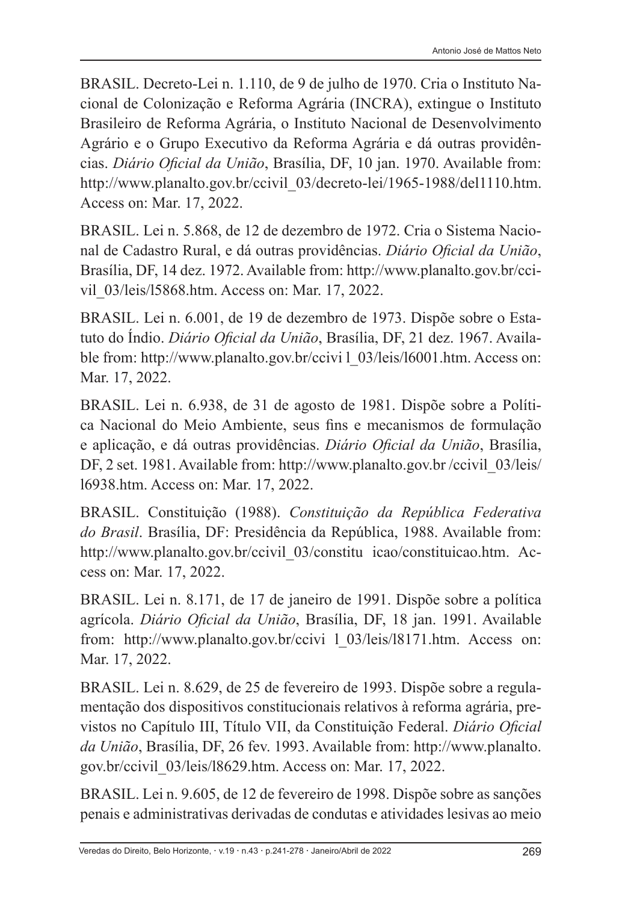BRASIL. Decreto-Lei n. 1.110, de 9 de julho de 1970. Cria o Instituto Nacional de Colonização e Reforma Agrária (INCRA), extingue o Instituto Brasileiro de Reforma Agrária, o Instituto Nacional de Desenvolvimento Agrário e o Grupo Executivo da Reforma Agrária e dá outras providências. *Diário Oficial da União*, Brasília, DF, 10 jan. 1970. Available from: http://www.planalto.gov.br/ccivil\_03/decreto-lei/1965-1988/del1110.htm. Access on: Mar. 17, 2022.

BRASIL. Lei n. 5.868, de 12 de dezembro de 1972. Cria o Sistema Nacional de Cadastro Rural, e dá outras providências. *Diário Oficial da União*, Brasília, DF, 14 dez. 1972. Available from: http://www.planalto.gov.br/ccivil\_03/leis/l5868.htm. Access on: Mar. 17, 2022.

BRASIL. Lei n. 6.001, de 19 de dezembro de 1973. Dispõe sobre o Estatuto do Índio. *Diário Oficial da União*, Brasília, DF, 21 dez. 1967. Available from: http://www.planalto.gov.br/ccivi 1 03/leis/l6001.htm. Access on: Mar. 17, 2022.

BRASIL. Lei n. 6.938, de 31 de agosto de 1981. Dispõe sobre a Política Nacional do Meio Ambiente, seus fins e mecanismos de formulação e aplicação, e dá outras providências. *Diário Oficial da União*, Brasília, DF, 2 set. 1981. Available from: http://www.planalto.gov.br/ccivil 03/leis/ l6938.htm. Access on: Mar. 17, 2022.

BRASIL. Constituição (1988). *Constituição da República Federativa do Brasil*. Brasília, DF: Presidência da República, 1988. Available from: http://www.planalto.gov.br/ccivil\_03/constitu icao/constituicao.htm. Access on: Mar. 17, 2022.

BRASIL. Lei n. 8.171, de 17 de janeiro de 1991. Dispõe sobre a política agrícola. *Diário Oficial da União*, Brasília, DF, 18 jan. 1991. Available from: http://www.planalto.gov.br/ccivi l\_03/leis/l8171.htm. Access on: Mar. 17, 2022.

BRASIL. Lei n. 8.629, de 25 de fevereiro de 1993. Dispõe sobre a regulamentação dos dispositivos constitucionais relativos à reforma agrária, previstos no Capítulo III, Título VII, da Constituição Federal. *Diário Oficial da União*, Brasília, DF, 26 fev. 1993. Available from: http://www.planalto. gov.br/ccivil\_03/leis/l8629.htm. Access on: Mar. 17, 2022.

BRASIL. Lei n. 9.605, de 12 de fevereiro de 1998. Dispõe sobre as sanções penais e administrativas derivadas de condutas e atividades lesivas ao meio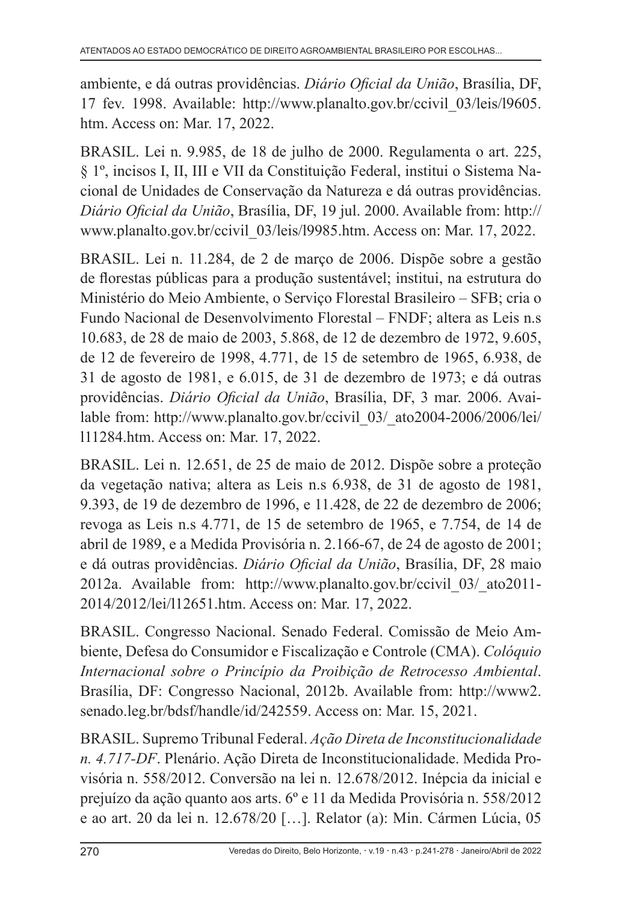ambiente, e dá outras providências. *Diário Oficial da União*, Brasília, DF, 17 fev. 1998. Available: http://www.planalto.gov.br/ccivil\_03/leis/l9605. htm. Access on: Mar. 17, 2022.

BRASIL. Lei n. 9.985, de 18 de julho de 2000. Regulamenta o art. 225, § 1º, incisos I, II, III e VII da Constituição Federal, institui o Sistema Nacional de Unidades de Conservação da Natureza e dá outras providências. *Diário Oficial da União*, Brasília, DF, 19 jul. 2000. Available from: http:// www.planalto.gov.br/ccivil\_03/leis/l9985.htm. Access on: Mar. 17, 2022.

BRASIL. Lei n. 11.284, de 2 de março de 2006. Dispõe sobre a gestão de florestas públicas para a produção sustentável; institui, na estrutura do Ministério do Meio Ambiente, o Serviço Florestal Brasileiro – SFB; cria o Fundo Nacional de Desenvolvimento Florestal – FNDF; altera as Leis n.s 10.683, de 28 de maio de 2003, 5.868, de 12 de dezembro de 1972, 9.605, de 12 de fevereiro de 1998, 4.771, de 15 de setembro de 1965, 6.938, de 31 de agosto de 1981, e 6.015, de 31 de dezembro de 1973; e dá outras providências. *Diário Oficial da União*, Brasília, DF, 3 mar. 2006. Available from: http://www.planalto.gov.br/ccivil 03/ ato2004-2006/2006/lei/ l11284.htm. Access on: Mar. 17, 2022.

BRASIL. Lei n. 12.651, de 25 de maio de 2012. Dispõe sobre a proteção da vegetação nativa; altera as Leis n.s 6.938, de 31 de agosto de 1981, 9.393, de 19 de dezembro de 1996, e 11.428, de 22 de dezembro de 2006; revoga as Leis n.s 4.771, de 15 de setembro de 1965, e 7.754, de 14 de abril de 1989, e a Medida Provisória n. 2.166-67, de 24 de agosto de 2001; e dá outras providências. *Diário Oficial da União*, Brasília, DF, 28 maio 2012a. Available from: http://www.planalto.gov.br/ccivil\_03/\_ato2011- 2014/2012/lei/l12651.htm. Access on: Mar. 17, 2022.

BRASIL. Congresso Nacional. Senado Federal. Comissão de Meio Ambiente, Defesa do Consumidor e Fiscalização e Controle (CMA). *Colóquio Internacional sobre o Princípio da Proibição de Retrocesso Ambiental*. Brasília, DF: Congresso Nacional, 2012b. Available from: http://www2. senado.leg.br/bdsf/handle/id/242559. Access on: Mar. 15, 2021.

BRASIL. Supremo Tribunal Federal. *Ação Direta de Inconstitucionalidade n. 4.717-DF*. Plenário. Ação Direta de Inconstitucionalidade. Medida Provisória n. 558/2012. Conversão na lei n. 12.678/2012. Inépcia da inicial e prejuízo da ação quanto aos arts. 6º e 11 da Medida Provisória n. 558/2012 e ao art. 20 da lei n. 12.678/20 […]. Relator (a): Min. Cármen Lúcia, 05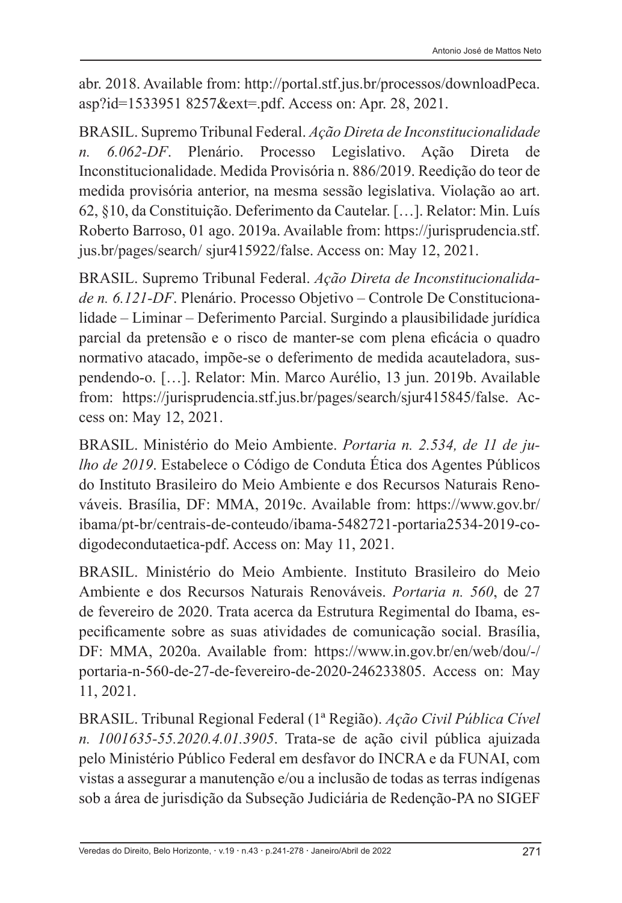abr. 2018. Available from: http://portal.stf.jus.br/processos/downloadPeca. asp?id=1533951 8257&ext=.pdf. Access on: Apr. 28, 2021.

BRASIL. Supremo Tribunal Federal. *Ação Direta de Inconstitucionalidade n. 6.062-DF*. Plenário. Processo Legislativo. Ação Direta de Inconstitucionalidade. Medida Provisória n. 886/2019. Reedição do teor de medida provisória anterior, na mesma sessão legislativa. Violação ao art. 62, §10, da Constituição. Deferimento da Cautelar. […]. Relator: Min. Luís Roberto Barroso, 01 ago. 2019a. Available from: https://jurisprudencia.stf. jus.br/pages/search/ sjur415922/false. Access on: May 12, 2021.

BRASIL. Supremo Tribunal Federal. *Ação Direta de Inconstitucionalidade n. 6.121-DF*. Plenário. Processo Objetivo – Controle De Constitucionalidade – Liminar – Deferimento Parcial. Surgindo a plausibilidade jurídica parcial da pretensão e o risco de manter-se com plena eficácia o quadro normativo atacado, impõe-se o deferimento de medida acauteladora, suspendendo-o. […]. Relator: Min. Marco Aurélio, 13 jun. 2019b. Available from: https://jurisprudencia.stf.jus.br/pages/search/sjur415845/false. Access on: May 12, 2021.

BRASIL. Ministério do Meio Ambiente. *Portaria n. 2.534, de 11 de julho de 2019*. Estabelece o Código de Conduta Ética dos Agentes Públicos do Instituto Brasileiro do Meio Ambiente e dos Recursos Naturais Renováveis. Brasília, DF: MMA, 2019c. Available from: https://www.gov.br/ ibama/pt-br/centrais-de-conteudo/ibama-5482721-portaria2534-2019-codigodecondutaetica-pdf. Access on: May 11, 2021.

BRASIL. Ministério do Meio Ambiente. Instituto Brasileiro do Meio Ambiente e dos Recursos Naturais Renováveis. *Portaria n. 560*, de 27 de fevereiro de 2020. Trata acerca da Estrutura Regimental do Ibama, especificamente sobre as suas atividades de comunicação social. Brasília, DF: MMA, 2020a. Available from: https://www.in.gov.br/en/web/dou/-/ portaria-n-560-de-27-de-fevereiro-de-2020-246233805. Access on: May 11, 2021.

BRASIL. Tribunal Regional Federal (1ª Região). *Ação Civil Pública Cível n. 1001635-55.2020.4.01.3905*. Trata-se de ação civil pública ajuizada pelo Ministério Público Federal em desfavor do INCRA e da FUNAI, com vistas a assegurar a manutenção e/ou a inclusão de todas as terras indígenas sob a área de jurisdição da Subseção Judiciária de Redenção-PA no SIGEF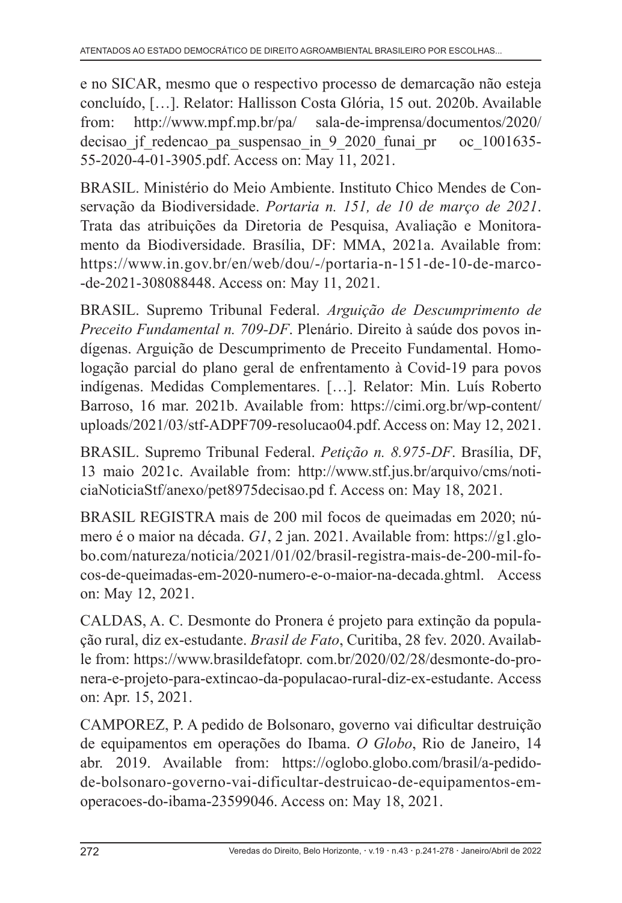e no SICAR, mesmo que o respectivo processo de demarcação não esteja concluído, […]. Relator: Hallisson Costa Glória, 15 out. 2020b. Available from: http://www.mpf.mp.br/pa/ sala-de-imprensa/documentos/2020/ decisao jf redencao pa suspensao in 9 2020 funai pr oc 1001635-55-2020-4-01-3905.pdf. Access on: May 11, 2021.

BRASIL. Ministério do Meio Ambiente. Instituto Chico Mendes de Conservação da Biodiversidade. *Portaria n. 151, de 10 de março de 2021*. Trata das atribuições da Diretoria de Pesquisa, Avaliação e Monitoramento da Biodiversidade. Brasília, DF: MMA, 2021a. Available from: https://www.in.gov.br/en/web/dou/-/portaria-n-151-de-10-de-marco- -de-2021-308088448. Access on: May 11, 2021.

BRASIL. Supremo Tribunal Federal. *Arguição de Descumprimento de Preceito Fundamental n. 709-DF*. Plenário. Direito à saúde dos povos indígenas. Arguição de Descumprimento de Preceito Fundamental. Homologação parcial do plano geral de enfrentamento à Covid-19 para povos indígenas. Medidas Complementares. […]. Relator: Min. Luís Roberto Barroso, 16 mar. 2021b. Available from: https://cimi.org.br/wp-content/ uploads/2021/03/stf-ADPF709-resolucao04.pdf. Access on: May 12, 2021.

BRASIL. Supremo Tribunal Federal. *Petição n. 8.975-DF*. Brasília, DF, 13 maio 2021c. Available from: http://www.stf.jus.br/arquivo/cms/noticiaNoticiaStf/anexo/pet8975decisao.pd f. Access on: May 18, 2021.

BRASIL REGISTRA mais de 200 mil focos de queimadas em 2020; número é o maior na década. *G1*, 2 jan. 2021. Available from: https://g1.globo.com/natureza/noticia/2021/01/02/brasil-registra-mais-de-200-mil-focos-de-queimadas-em-2020-numero-e-o-maior-na-decada.ghtml. Access on: May 12, 2021.

CALDAS, A. C. Desmonte do Pronera é projeto para extinção da população rural, diz ex-estudante. *Brasil de Fato*, Curitiba, 28 fev. 2020. Available from: https://www.brasildefatopr. com.br/2020/02/28/desmonte-do-pronera-e-projeto-para-extincao-da-populacao-rural-diz-ex-estudante. Access on: Apr. 15, 2021.

CAMPOREZ, P. A pedido de Bolsonaro, governo vai dificultar destruição de equipamentos em operações do Ibama. *O Globo*, Rio de Janeiro, 14 abr. 2019. Available from: https://oglobo.globo.com/brasil/a-pedidode-bolsonaro-governo-vai-dificultar-destruicao-de-equipamentos-emoperacoes-do-ibama-23599046. Access on: May 18, 2021.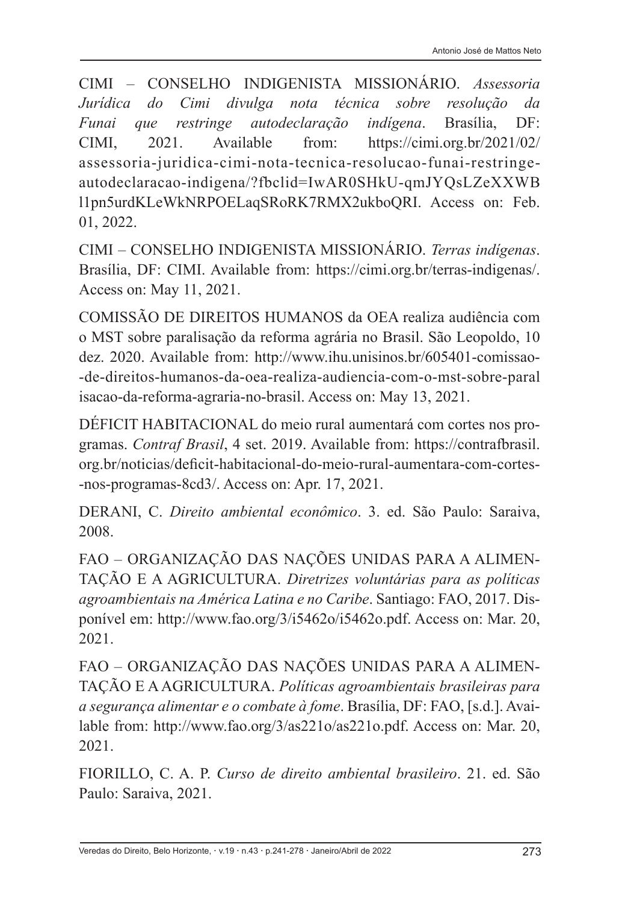CIMI – CONSELHO INDIGENISTA MISSIONÁRIO. *Assessoria Jurídica do Cimi divulga nota técnica sobre resolução da Funai que restringe autodeclaração indígena*. Brasília, DF: CIMI, 2021. Available from: https://cimi.org.br/2021/02/ assessoria-juridica-cimi-nota-tecnica-resolucao-funai-restringeautodeclaracao-indigena/?fbclid=IwAR0SHkU-qmJYQsLZeXXWB l1pn5urdKLeWkNRPOELaqSRoRK7RMX2ukboQRI. Access on: Feb. 01, 2022.

CIMI – CONSELHO INDIGENISTA MISSIONÁRIO. *Terras indígenas*. Brasília, DF: CIMI. Available from: https://cimi.org.br/terras-indigenas/. Access on: May 11, 2021.

COMISSÃO DE DIREITOS HUMANOS da OEA realiza audiência com o MST sobre paralisação da reforma agrária no Brasil. São Leopoldo, 10 dez. 2020. Available from: http://www.ihu.unisinos.br/605401-comissao- -de-direitos-humanos-da-oea-realiza-audiencia-com-o-mst-sobre-paral isacao-da-reforma-agraria-no-brasil. Access on: May 13, 2021.

DÉFICIT HABITACIONAL do meio rural aumentará com cortes nos programas. *Contraf Brasil*, 4 set. 2019. Available from: https://contrafbrasil. org.br/noticias/deficit-habitacional-do-meio-rural-aumentara-com-cortes- -nos-programas-8cd3/. Access on: Apr. 17, 2021.

DERANI, C. *Direito ambiental econômico*. 3. ed. São Paulo: Saraiva, 2008.

FAO – ORGANIZAÇÃO DAS NAÇÕES UNIDAS PARA A ALIMEN-TAÇÃO E A AGRICULTURA. *Diretrizes voluntárias para as políticas agroambientais na América Latina e no Caribe*. Santiago: FAO, 2017. Disponível em: http://www.fao.org/3/i5462o/i5462o.pdf. Access on: Mar. 20, 2021.

FAO – ORGANIZAÇÃO DAS NAÇÕES UNIDAS PARA A ALIMEN-TAÇÃO E A AGRICULTURA. *Políticas agroambientais brasileiras para a segurança alimentar e o combate à fome*. Brasília, DF: FAO, [s.d.]. Available from: http://www.fao.org/3/as221o/as221o.pdf. Access on: Mar. 20, 2021.

FIORILLO, C. A. P. *Curso de direito ambiental brasileiro*. 21. ed. São Paulo: Saraiva, 2021.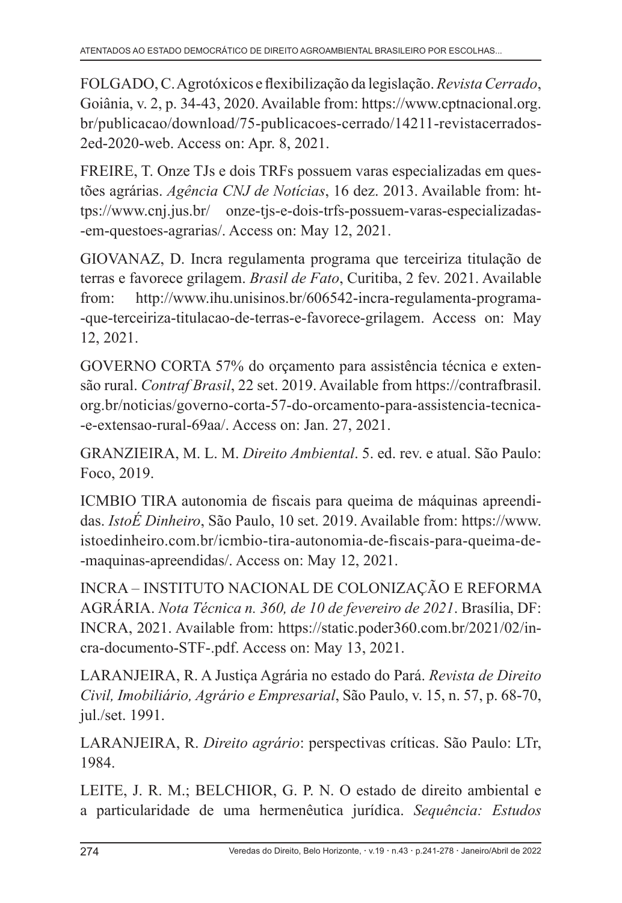FOLGADO, C. Agrotóxicos e flexibilização da legislação. *Revista Cerrado*, Goiânia, v. 2, p. 34-43, 2020. Available from: https://www.cptnacional.org. br/publicacao/download/75-publicacoes-cerrado/14211-revistacerrados-2ed-2020-web. Access on: Apr. 8, 2021.

FREIRE, T. Onze TJs e dois TRFs possuem varas especializadas em questões agrárias. *Agência CNJ de Notícias*, 16 dez. 2013. Available from: https://www.cnj.jus.br/ onze-tjs-e-dois-trfs-possuem-varas-especializadas- -em-questoes-agrarias/. Access on: May 12, 2021.

GIOVANAZ, D. Incra regulamenta programa que terceiriza titulação de terras e favorece grilagem. *Brasil de Fato*, Curitiba, 2 fev. 2021. Available from: http://www.ihu.unisinos.br/606542-incra-regulamenta-programa- -que-terceiriza-titulacao-de-terras-e-favorece-grilagem. Access on: May 12, 2021.

GOVERNO CORTA 57% do orçamento para assistência técnica e extensão rural. *Contraf Brasil*, 22 set. 2019. Available from https://contrafbrasil. org.br/noticias/governo-corta-57-do-orcamento-para-assistencia-tecnica- -e-extensao-rural-69aa/. Access on: Jan. 27, 2021.

GRANZIEIRA, M. L. M. *Direito Ambiental*. 5. ed. rev. e atual. São Paulo: Foco, 2019.

ICMBIO TIRA autonomia de fiscais para queima de máquinas apreendidas. *IstoÉ Dinheiro*, São Paulo, 10 set. 2019. Available from: https://www. istoedinheiro.com.br/icmbio-tira-autonomia-de-fiscais-para-queima-de- -maquinas-apreendidas/. Access on: May 12, 2021.

INCRA – INSTITUTO NACIONAL DE COLONIZAÇÃO E REFORMA AGRÁRIA. *Nota Técnica n. 360, de 10 de fevereiro de 2021*. Brasília, DF: INCRA, 2021. Available from: https://static.poder360.com.br/2021/02/incra-documento-STF-.pdf. Access on: May 13, 2021.

LARANJEIRA, R. A Justiça Agrária no estado do Pará. *Revista de Direito Civil, Imobiliário, Agrário e Empresarial*, São Paulo, v. 15, n. 57, p. 68-70, jul./set. 1991.

LARANJEIRA, R. *Direito agrário*: perspectivas críticas. São Paulo: LTr, 1984.

LEITE, J. R. M.; BELCHIOR, G. P. N. O estado de direito ambiental e a particularidade de uma hermenêutica jurídica. *Sequência: Estudos*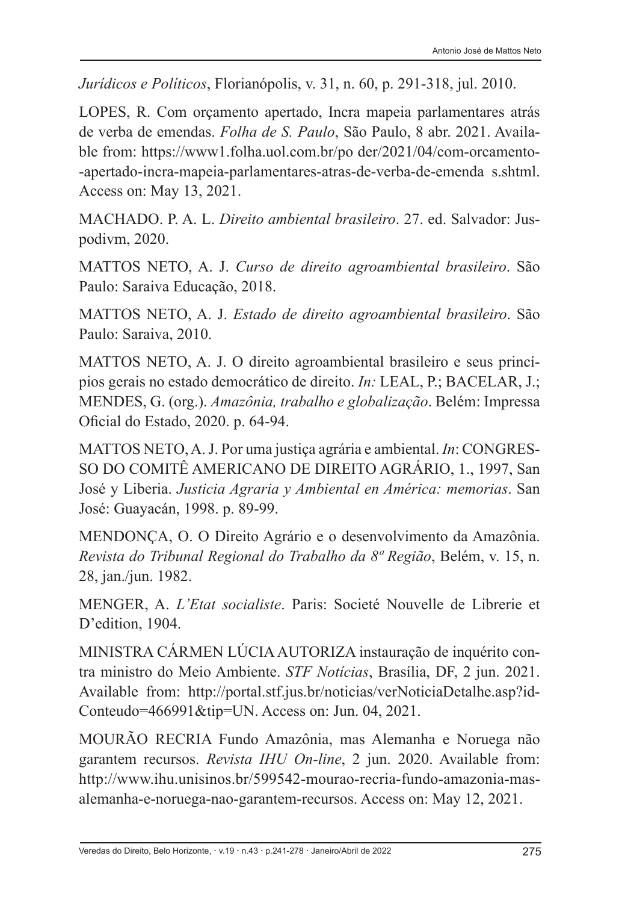*Jurídicos e Políticos*, Florianópolis, v. 31, n. 60, p. 291-318, jul. 2010.

LOPES, R. Com orçamento apertado, Incra mapeia parlamentares atrás de verba de emendas. *Folha de S. Paulo*, São Paulo, 8 abr. 2021. Available from: https://www1.folha.uol.com.br/po der/2021/04/com-orcamento- -apertado-incra-mapeia-parlamentares-atras-de-verba-de-emenda s.shtml. Access on: May 13, 2021.

MACHADO. P. A. L. *Direito ambiental brasileiro*. 27. ed. Salvador: Juspodivm, 2020.

MATTOS NETO, A. J. *Curso de direito agroambiental brasileiro*. São Paulo: Saraiva Educação, 2018.

MATTOS NETO, A. J. *Estado de direito agroambiental brasileiro*. São Paulo: Saraiva, 2010.

MATTOS NETO, A. J. O direito agroambiental brasileiro e seus princípios gerais no estado democrático de direito. *In:* LEAL, P.; BACELAR, J.; MENDES, G. (org.). *Amazônia, trabalho e globalização*. Belém: Impressa Oficial do Estado, 2020. p. 64-94.

MATTOS NETO, A. J. Por uma justiça agrária e ambiental. *In*: CONGRES-SO DO COMITÊ AMERICANO DE DIREITO AGRÁRIO, 1., 1997, San José y Liberia. *Justicia Agraria y Ambiental en América: memorias*. San José: Guayacán, 1998. p. 89-99.

MENDONÇA, O. O Direito Agrário e o desenvolvimento da Amazônia. *Revista do Tribunal Regional do Trabalho da 8ª Região*, Belém, v. 15, n. 28, jan./jun. 1982.

MENGER, A. *L'Etat socialiste*. Paris: Societé Nouvelle de Librerie et D'edition, 1904.

MINISTRA CÁRMEN LÚCIA AUTORIZA instauração de inquérito contra ministro do Meio Ambiente. *STF Notícias*, Brasília, DF, 2 jun. 2021. Available from: http://portal.stf.jus.br/noticias/verNoticiaDetalhe.asp?id-Conteudo=466991&tip=UN. Access on: Jun. 04, 2021.

MOURÃO RECRIA Fundo Amazônia, mas Alemanha e Noruega não garantem recursos. *Revista IHU On-line*, 2 jun. 2020. Available from: http://www.ihu.unisinos.br/599542-mourao-recria-fundo-amazonia-masalemanha-e-noruega-nao-garantem-recursos. Access on: May 12, 2021.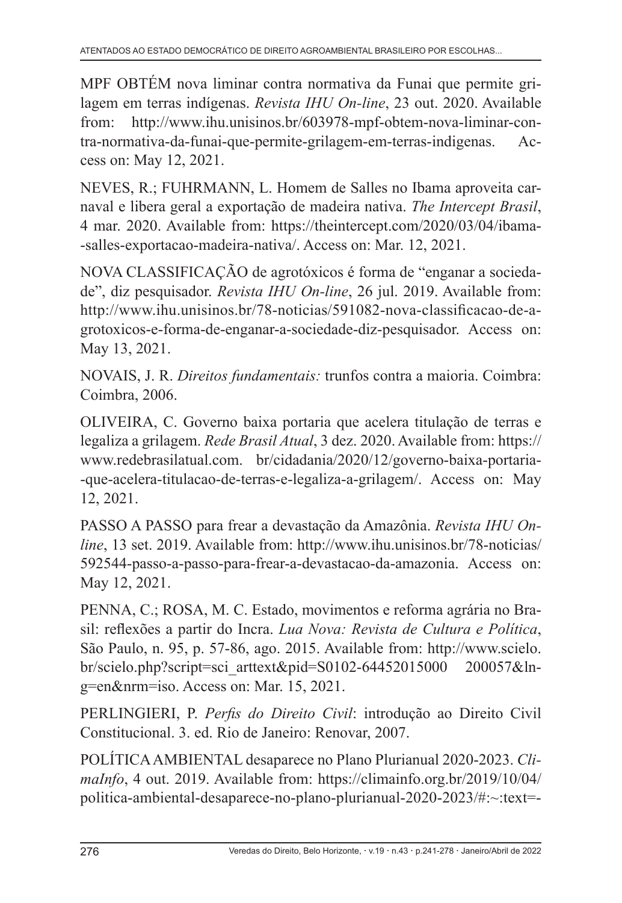MPF OBTÉM nova liminar contra normativa da Funai que permite grilagem em terras indígenas. *Revista IHU On-line*, 23 out. 2020. Available from: http://www.ihu.unisinos.br/603978-mpf-obtem-nova-liminar-contra-normativa-da-funai-que-permite-grilagem-em-terras-indigenas. Access on: May 12, 2021.

NEVES, R.; FUHRMANN, L. Homem de Salles no Ibama aproveita carnaval e libera geral a exportação de madeira nativa. *The Intercept Brasil*, 4 mar. 2020. Available from: https://theintercept.com/2020/03/04/ibama- -salles-exportacao-madeira-nativa/. Access on: Mar. 12, 2021.

NOVA CLASSIFICAÇÃO de agrotóxicos é forma de "enganar a sociedade", diz pesquisador. *Revista IHU On-line*, 26 jul. 2019. Available from: http://www.ihu.unisinos.br/78-noticias/591082-nova-classificacao-de-agrotoxicos-e-forma-de-enganar-a-sociedade-diz-pesquisador. Access on: May 13, 2021.

NOVAIS, J. R. *Direitos fundamentais:* trunfos contra a maioria. Coimbra: Coimbra, 2006.

OLIVEIRA, C. Governo baixa portaria que acelera titulação de terras e legaliza a grilagem. *Rede Brasil Atual*, 3 dez. 2020. Available from: https:// www.redebrasilatual.com. br/cidadania/2020/12/governo-baixa-portaria- -que-acelera-titulacao-de-terras-e-legaliza-a-grilagem/. Access on: May 12, 2021.

PASSO A PASSO para frear a devastação da Amazônia. *Revista IHU Online*, 13 set. 2019. Available from: http://www.ihu.unisinos.br/78-noticias/ 592544-passo-a-passo-para-frear-a-devastacao-da-amazonia. Access on: May 12, 2021.

PENNA, C.; ROSA, M. C. Estado, movimentos e reforma agrária no Brasil: reflexões a partir do Incra. *Lua Nova: Revista de Cultura e Política*, São Paulo, n. 95, p. 57-86, ago. 2015. Available from: http://www.scielo. br/scielo.php?script=sci\_arttext&pid=S0102-64452015000 200057&lng=en&nrm=iso. Access on: Mar. 15, 2021.

PERLINGIERI, P. *Perfis do Direito Civil*: introdução ao Direito Civil Constitucional. 3. ed. Rio de Janeiro: Renovar, 2007.

POLÍTICA AMBIENTAL desaparece no Plano Plurianual 2020-2023. *ClimaInfo*, 4 out. 2019. Available from: https://climainfo.org.br/2019/10/04/ politica-ambiental-desaparece-no-plano-plurianual-2020-2023/#:~:text=-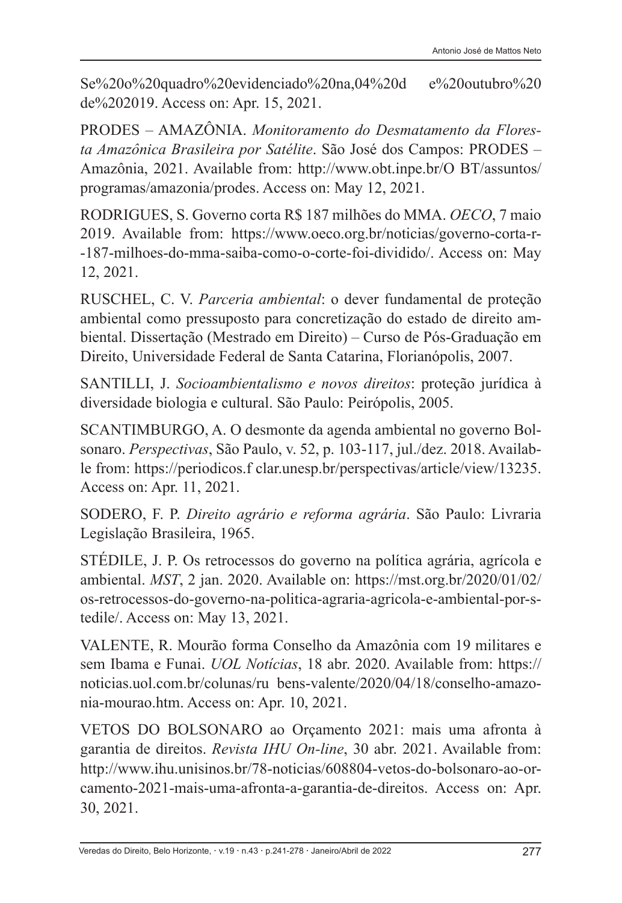Se%20o%20quadro%20evidenciado%20na,04%20d e%20outubro%20 de%202019. Access on: Apr. 15, 2021.

PRODES – AMAZÔNIA. *Monitoramento do Desmatamento da Floresta Amazônica Brasileira por Satélite*. São José dos Campos: PRODES – Amazônia, 2021. Available from: http://www.obt.inpe.br/O BT/assuntos/ programas/amazonia/prodes. Access on: May 12, 2021.

RODRIGUES, S. Governo corta R\$ 187 milhões do MMA. *OECO*, 7 maio 2019. Available from: https://www.oeco.org.br/noticias/governo-corta-r- -187-milhoes-do-mma-saiba-como-o-corte-foi-dividido/. Access on: May 12, 2021.

RUSCHEL, C. V. *Parceria ambiental*: o dever fundamental de proteção ambiental como pressuposto para concretização do estado de direito ambiental. Dissertação (Mestrado em Direito) – Curso de Pós-Graduação em Direito, Universidade Federal de Santa Catarina, Florianópolis, 2007.

SANTILLI, J. *Socioambientalismo e novos direitos*: proteção jurídica à diversidade biologia e cultural. São Paulo: Peirópolis, 2005.

SCANTIMBURGO, A. O desmonte da agenda ambiental no governo Bolsonaro. *Perspectivas*, São Paulo, v. 52, p. 103-117, jul./dez. 2018. Available from: https://periodicos.f clar.unesp.br/perspectivas/article/view/13235. Access on: Apr. 11, 2021.

SODERO, F. P. *Direito agrário e reforma agrária*. São Paulo: Livraria Legislação Brasileira, 1965.

STÉDILE, J. P. Os retrocessos do governo na política agrária, agrícola e ambiental. *MST*, 2 jan. 2020. Available on: https://mst.org.br/2020/01/02/ os-retrocessos-do-governo-na-politica-agraria-agricola-e-ambiental-por-stedile/. Access on: May 13, 2021.

VALENTE, R. Mourão forma Conselho da Amazônia com 19 militares e sem Ibama e Funai. *UOL Notícias*, 18 abr. 2020. Available from: https:// noticias.uol.com.br/colunas/ru bens-valente/2020/04/18/conselho-amazonia-mourao.htm. Access on: Apr. 10, 2021.

VETOS DO BOLSONARO ao Orçamento 2021: mais uma afronta à garantia de direitos. *Revista IHU On-line*, 30 abr. 2021. Available from: http://www.ihu.unisinos.br/78-noticias/608804-vetos-do-bolsonaro-ao-orcamento-2021-mais-uma-afronta-a-garantia-de-direitos. Access on: Apr. 30, 2021.